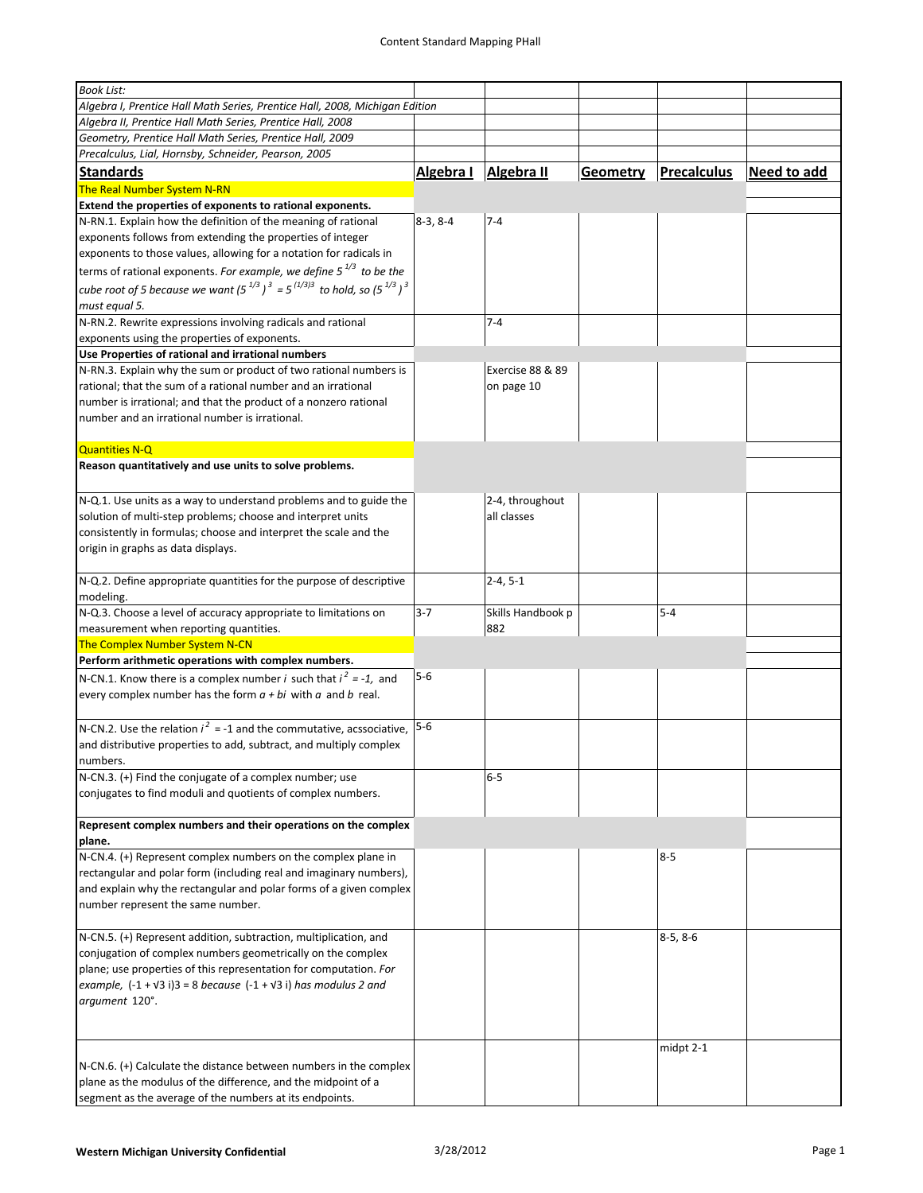| <b>Book List:</b>                                                                   |            |                   |                 |                    |             |
|-------------------------------------------------------------------------------------|------------|-------------------|-----------------|--------------------|-------------|
|                                                                                     |            |                   |                 |                    |             |
| Algebra I, Prentice Hall Math Series, Prentice Hall, 2008, Michigan Edition         |            |                   |                 |                    |             |
| Algebra II, Prentice Hall Math Series, Prentice Hall, 2008                          |            |                   |                 |                    |             |
| Geometry, Prentice Hall Math Series, Prentice Hall, 2009                            |            |                   |                 |                    |             |
| Precalculus, Lial, Hornsby, Schneider, Pearson, 2005                                |            |                   |                 |                    |             |
| <b>Standards</b>                                                                    | Algebra I  | Algebra II        | <b>Geometry</b> | <b>Precalculus</b> | Need to add |
| The Real Number System N-RN                                                         |            |                   |                 |                    |             |
| Extend the properties of exponents to rational exponents.                           |            |                   |                 |                    |             |
| N-RN.1. Explain how the definition of the meaning of rational                       | $8-3, 8-4$ | $7 - 4$           |                 |                    |             |
|                                                                                     |            |                   |                 |                    |             |
| exponents follows from extending the properties of integer                          |            |                   |                 |                    |             |
| exponents to those values, allowing for a notation for radicals in                  |            |                   |                 |                    |             |
| terms of rational exponents. For example, we define $5^{1/3}$ to be the             |            |                   |                 |                    |             |
| cube root of 5 because we want $(5^{1/3})^3 = 5^{(1/3)3}$ to hold, so $(5^{1/3})^3$ |            |                   |                 |                    |             |
| must equal 5.                                                                       |            |                   |                 |                    |             |
| N-RN.2. Rewrite expressions involving radicals and rational                         |            | $7 - 4$           |                 |                    |             |
| exponents using the properties of exponents.                                        |            |                   |                 |                    |             |
| Use Properties of rational and irrational numbers                                   |            |                   |                 |                    |             |
| N-RN.3. Explain why the sum or product of two rational numbers is                   |            | Exercise 88 & 89  |                 |                    |             |
|                                                                                     |            |                   |                 |                    |             |
| rational; that the sum of a rational number and an irrational                       |            | on page 10        |                 |                    |             |
| number is irrational; and that the product of a nonzero rational                    |            |                   |                 |                    |             |
| number and an irrational number is irrational.                                      |            |                   |                 |                    |             |
|                                                                                     |            |                   |                 |                    |             |
| Quantities N-Q                                                                      |            |                   |                 |                    |             |
| Reason quantitatively and use units to solve problems.                              |            |                   |                 |                    |             |
|                                                                                     |            |                   |                 |                    |             |
| N-Q.1. Use units as a way to understand problems and to guide the                   |            | 2-4, throughout   |                 |                    |             |
| solution of multi-step problems; choose and interpret units                         |            | all classes       |                 |                    |             |
| consistently in formulas; choose and interpret the scale and the                    |            |                   |                 |                    |             |
| origin in graphs as data displays.                                                  |            |                   |                 |                    |             |
|                                                                                     |            |                   |                 |                    |             |
| N-Q.2. Define appropriate quantities for the purpose of descriptive                 |            | $2 - 4, 5 - 1$    |                 |                    |             |
|                                                                                     |            |                   |                 |                    |             |
| modeling.                                                                           |            |                   |                 |                    |             |
| N-Q.3. Choose a level of accuracy appropriate to limitations on                     | $3 - 7$    | Skills Handbook p |                 | $5 - 4$            |             |
| measurement when reporting quantities.                                              |            | 882               |                 |                    |             |
| The Complex Number System N-CN                                                      |            |                   |                 |                    |             |
| Perform arithmetic operations with complex numbers.                                 |            |                   |                 |                    |             |
| N-CN.1. Know there is a complex number <i>i</i> such that $i^2 = -1$ , and          | $5 - 6$    |                   |                 |                    |             |
| every complex number has the form $a + bi$ with a and b real.                       |            |                   |                 |                    |             |
|                                                                                     |            |                   |                 |                    |             |
| N-CN.2. Use the relation $i^2 = -1$ and the commutative, acssociative, $ 5-6 $      |            |                   |                 |                    |             |
| and distributive properties to add, subtract, and multiply complex                  |            |                   |                 |                    |             |
|                                                                                     |            |                   |                 |                    |             |
| numbers.                                                                            |            |                   |                 |                    |             |
| N-CN.3. (+) Find the conjugate of a complex number; use                             |            | $6-5$             |                 |                    |             |
| conjugates to find moduli and quotients of complex numbers.                         |            |                   |                 |                    |             |
|                                                                                     |            |                   |                 |                    |             |
| Represent complex numbers and their operations on the complex                       |            |                   |                 |                    |             |
| plane.                                                                              |            |                   |                 |                    |             |
| N-CN.4. (+) Represent complex numbers on the complex plane in                       |            |                   |                 | $8 - 5$            |             |
| rectangular and polar form (including real and imaginary numbers),                  |            |                   |                 |                    |             |
| and explain why the rectangular and polar forms of a given complex                  |            |                   |                 |                    |             |
| number represent the same number.                                                   |            |                   |                 |                    |             |
|                                                                                     |            |                   |                 |                    |             |
| N-CN.5. (+) Represent addition, subtraction, multiplication, and                    |            |                   |                 | $8-5, 8-6$         |             |
| conjugation of complex numbers geometrically on the complex                         |            |                   |                 |                    |             |
| plane; use properties of this representation for computation. For                   |            |                   |                 |                    |             |
| example, $(-1 + \sqrt{3} i)$ 3 = 8 because $(-1 + \sqrt{3} i)$ has modulus 2 and    |            |                   |                 |                    |             |
| argument 120°.                                                                      |            |                   |                 |                    |             |
|                                                                                     |            |                   |                 |                    |             |
|                                                                                     |            |                   |                 |                    |             |
|                                                                                     |            |                   |                 | midpt 2-1          |             |
| N-CN.6. (+) Calculate the distance between numbers in the complex                   |            |                   |                 |                    |             |
| plane as the modulus of the difference, and the midpoint of a                       |            |                   |                 |                    |             |
| segment as the average of the numbers at its endpoints.                             |            |                   |                 |                    |             |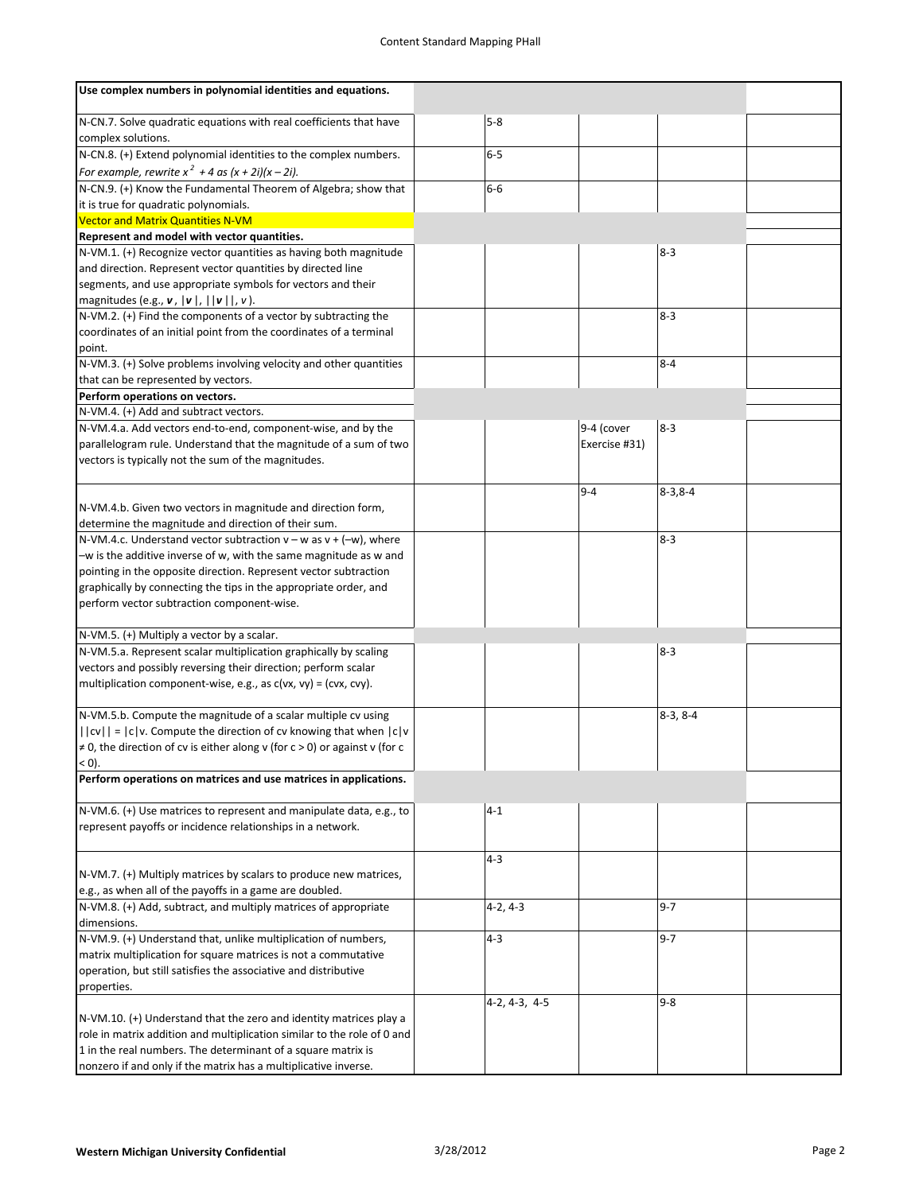| Use complex numbers in polynomial identities and equations.                                                                                                                                                                                                                                                                        |                 |                             |                |  |
|------------------------------------------------------------------------------------------------------------------------------------------------------------------------------------------------------------------------------------------------------------------------------------------------------------------------------------|-----------------|-----------------------------|----------------|--|
| N-CN.7. Solve quadratic equations with real coefficients that have<br>complex solutions.                                                                                                                                                                                                                                           | 5-8             |                             |                |  |
| N-CN.8. (+) Extend polynomial identities to the complex numbers.<br>For example, rewrite $x^2 + 4$ as $(x + 2i)(x - 2i)$ .                                                                                                                                                                                                         | $6 - 5$         |                             |                |  |
| N-CN.9. (+) Know the Fundamental Theorem of Algebra; show that                                                                                                                                                                                                                                                                     | $6-6$           |                             |                |  |
| it is true for quadratic polynomials.                                                                                                                                                                                                                                                                                              |                 |                             |                |  |
| <b>Vector and Matrix Quantities N-VM</b>                                                                                                                                                                                                                                                                                           |                 |                             |                |  |
| Represent and model with vector quantities.                                                                                                                                                                                                                                                                                        |                 |                             |                |  |
| N-VM.1. (+) Recognize vector quantities as having both magnitude<br>and direction. Represent vector quantities by directed line<br>segments, and use appropriate symbols for vectors and their<br>magnitudes (e.g., $\mathbf{v}$ , $\ \mathbf{v}\ $ , $\ \mathbf{v}\ $ , $\nu$ ).                                                  |                 |                             | $8-3$          |  |
| N-VM.2. (+) Find the components of a vector by subtracting the<br>coordinates of an initial point from the coordinates of a terminal<br>point.                                                                                                                                                                                     |                 |                             | $8 - 3$        |  |
| N-VM.3. (+) Solve problems involving velocity and other quantities<br>that can be represented by vectors.                                                                                                                                                                                                                          |                 |                             | $8 - 4$        |  |
| Perform operations on vectors.                                                                                                                                                                                                                                                                                                     |                 |                             |                |  |
| N-VM.4. (+) Add and subtract vectors.                                                                                                                                                                                                                                                                                              |                 |                             |                |  |
| N-VM.4.a. Add vectors end-to-end, component-wise, and by the<br>parallelogram rule. Understand that the magnitude of a sum of two<br>vectors is typically not the sum of the magnitudes.                                                                                                                                           |                 | 9-4 (cover<br>Exercise #31) | $8 - 3$        |  |
| N-VM.4.b. Given two vectors in magnitude and direction form,<br>determine the magnitude and direction of their sum.                                                                                                                                                                                                                |                 | $9 - 4$                     | $8 - 3, 8 - 4$ |  |
| N-VM.4.c. Understand vector subtraction $v - w$ as $v + (-w)$ , where<br>$-w$ is the additive inverse of w, with the same magnitude as w and<br>pointing in the opposite direction. Represent vector subtraction<br>graphically by connecting the tips in the appropriate order, and<br>perform vector subtraction component-wise. |                 |                             | $8 - 3$        |  |
| N-VM.5. (+) Multiply a vector by a scalar.                                                                                                                                                                                                                                                                                         |                 |                             |                |  |
| N-VM.5.a. Represent scalar multiplication graphically by scaling<br>vectors and possibly reversing their direction; perform scalar<br>multiplication component-wise, e.g., as $c(vx, vy) = (cvx, cvy)$ .                                                                                                                           |                 |                             | $8 - 3$        |  |
| N-VM.5.b. Compute the magnitude of a scalar multiple cv using<br>$  cv   =  c v$ . Compute the direction of cv knowing that when $ c v$<br>$\neq$ 0, the direction of cv is either along v (for c > 0) or against v (for c<br>$< 0$ ).                                                                                             |                 |                             | $8-3, 8-4$     |  |
| Perform operations on matrices and use matrices in applications.                                                                                                                                                                                                                                                                   |                 |                             |                |  |
| N-VM.6. (+) Use matrices to represent and manipulate data, e.g., to<br>represent payoffs or incidence relationships in a network.                                                                                                                                                                                                  | $4 - 1$         |                             |                |  |
| N-VM.7. (+) Multiply matrices by scalars to produce new matrices,<br>e.g., as when all of the payoffs in a game are doubled.                                                                                                                                                                                                       | $4 - 3$         |                             |                |  |
| N-VM.8. (+) Add, subtract, and multiply matrices of appropriate<br>dimensions.                                                                                                                                                                                                                                                     | $4-2, 4-3$      |                             | $9 - 7$        |  |
| N-VM.9. (+) Understand that, unlike multiplication of numbers,<br>matrix multiplication for square matrices is not a commutative<br>operation, but still satisfies the associative and distributive<br>properties.                                                                                                                 | $4 - 3$         |                             | $9 - 7$        |  |
| N-VM.10. (+) Understand that the zero and identity matrices play a<br>role in matrix addition and multiplication similar to the role of 0 and<br>1 in the real numbers. The determinant of a square matrix is<br>nonzero if and only if the matrix has a multiplicative inverse.                                                   | $4-2, 4-3, 4-5$ |                             | $9 - 8$        |  |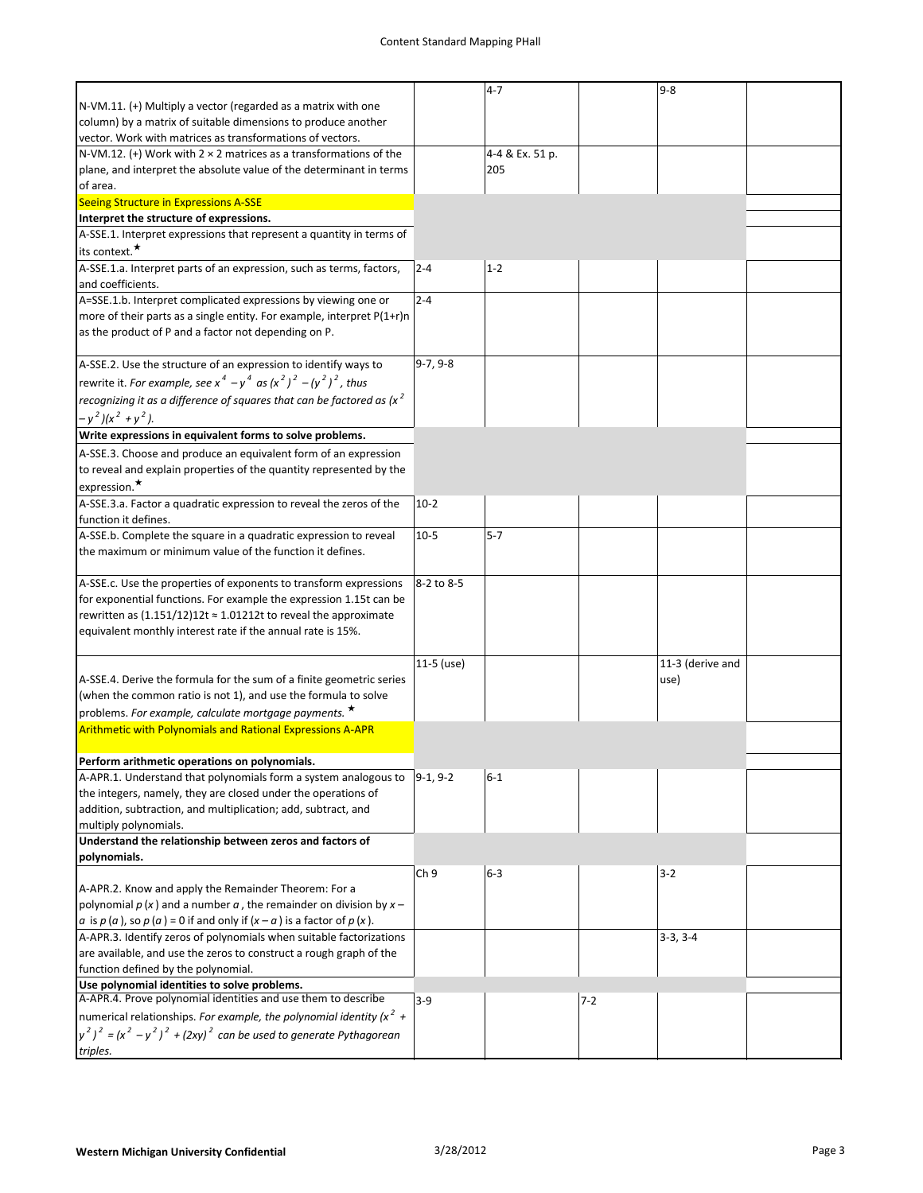|                                                                                                                                 |                 | $4 - 7$         |         | $9 - 8$          |  |
|---------------------------------------------------------------------------------------------------------------------------------|-----------------|-----------------|---------|------------------|--|
| N-VM.11. (+) Multiply a vector (regarded as a matrix with one                                                                   |                 |                 |         |                  |  |
| column) by a matrix of suitable dimensions to produce another                                                                   |                 |                 |         |                  |  |
|                                                                                                                                 |                 |                 |         |                  |  |
| vector. Work with matrices as transformations of vectors.                                                                       |                 |                 |         |                  |  |
| N-VM.12. (+) Work with $2 \times 2$ matrices as a transformations of the                                                        |                 | 4-4 & Ex. 51 p. |         |                  |  |
| plane, and interpret the absolute value of the determinant in terms                                                             |                 | 205             |         |                  |  |
| of area.                                                                                                                        |                 |                 |         |                  |  |
| Seeing Structure in Expressions A-SSE                                                                                           |                 |                 |         |                  |  |
| Interpret the structure of expressions.                                                                                         |                 |                 |         |                  |  |
| A-SSE.1. Interpret expressions that represent a quantity in terms of                                                            |                 |                 |         |                  |  |
| its context. <sup>★</sup>                                                                                                       |                 |                 |         |                  |  |
|                                                                                                                                 |                 |                 |         |                  |  |
| A-SSE.1.a. Interpret parts of an expression, such as terms, factors,                                                            | $2 - 4$         | $1 - 2$         |         |                  |  |
| and coefficients.                                                                                                               |                 |                 |         |                  |  |
| A=SSE.1.b. Interpret complicated expressions by viewing one or                                                                  | $2 - 4$         |                 |         |                  |  |
| more of their parts as a single entity. For example, interpret P(1+r)n                                                          |                 |                 |         |                  |  |
| as the product of P and a factor not depending on P.                                                                            |                 |                 |         |                  |  |
|                                                                                                                                 |                 |                 |         |                  |  |
| A-SSE.2. Use the structure of an expression to identify ways to                                                                 | $9-7, 9-8$      |                 |         |                  |  |
| rewrite it. For example, see $x^4 - y^4$ as $(x^2)^2 - (y^2)^2$ , thus                                                          |                 |                 |         |                  |  |
|                                                                                                                                 |                 |                 |         |                  |  |
| recognizing it as a difference of squares that can be factored as $(x^2)$                                                       |                 |                 |         |                  |  |
| $-y^2$ )(x <sup>2</sup> + y <sup>2</sup> ).                                                                                     |                 |                 |         |                  |  |
| Write expressions in equivalent forms to solve problems.                                                                        |                 |                 |         |                  |  |
| A-SSE.3. Choose and produce an equivalent form of an expression                                                                 |                 |                 |         |                  |  |
| to reveal and explain properties of the quantity represented by the                                                             |                 |                 |         |                  |  |
|                                                                                                                                 |                 |                 |         |                  |  |
| expression. $\star$                                                                                                             |                 |                 |         |                  |  |
| A-SSE.3.a. Factor a quadratic expression to reveal the zeros of the                                                             | $10-2$          |                 |         |                  |  |
| function it defines.                                                                                                            |                 |                 |         |                  |  |
| A-SSE.b. Complete the square in a quadratic expression to reveal                                                                | $10-5$          | $5 - 7$         |         |                  |  |
| the maximum or minimum value of the function it defines.                                                                        |                 |                 |         |                  |  |
|                                                                                                                                 |                 |                 |         |                  |  |
| A-SSE.c. Use the properties of exponents to transform expressions                                                               | 8-2 to 8-5      |                 |         |                  |  |
| for exponential functions. For example the expression 1.15t can be                                                              |                 |                 |         |                  |  |
|                                                                                                                                 |                 |                 |         |                  |  |
| rewritten as $(1.151/12)12t \approx 1.01212t$ to reveal the approximate                                                         |                 |                 |         |                  |  |
| equivalent monthly interest rate if the annual rate is 15%.                                                                     |                 |                 |         |                  |  |
|                                                                                                                                 |                 |                 |         |                  |  |
|                                                                                                                                 | $11-5$ (use)    |                 |         | 11-3 (derive and |  |
| A-SSE.4. Derive the formula for the sum of a finite geometric series                                                            |                 |                 |         | use)             |  |
| (when the common ratio is not 1), and use the formula to solve                                                                  |                 |                 |         |                  |  |
| problems. For example, calculate mortgage payments. *                                                                           |                 |                 |         |                  |  |
| <b>Arithmetic with Polynomials and Rational Expressions A-APR</b>                                                               |                 |                 |         |                  |  |
|                                                                                                                                 |                 |                 |         |                  |  |
|                                                                                                                                 |                 |                 |         |                  |  |
| Perform arithmetic operations on polynomials.                                                                                   |                 |                 |         |                  |  |
| A-APR.1. Understand that polynomials form a system analogous to                                                                 | $9-1, 9-2$      | $6 - 1$         |         |                  |  |
| the integers, namely, they are closed under the operations of                                                                   |                 |                 |         |                  |  |
| addition, subtraction, and multiplication; add, subtract, and                                                                   |                 |                 |         |                  |  |
| multiply polynomials.                                                                                                           |                 |                 |         |                  |  |
| Understand the relationship between zeros and factors of                                                                        |                 |                 |         |                  |  |
| polynomials.                                                                                                                    |                 |                 |         |                  |  |
|                                                                                                                                 | Ch <sub>9</sub> | 6-3             |         | $3 - 2$          |  |
| A-APR.2. Know and apply the Remainder Theorem: For a                                                                            |                 |                 |         |                  |  |
| polynomial $p(x)$ and a number $a$ , the remainder on division by $x -$                                                         |                 |                 |         |                  |  |
|                                                                                                                                 |                 |                 |         |                  |  |
| a is $p(a)$ , so $p(a)$ = 0 if and only if $(x - a)$ is a factor of $p(x)$ .                                                    |                 |                 |         |                  |  |
| A-APR.3. Identify zeros of polynomials when suitable factorizations                                                             |                 |                 |         | $3-3, 3-4$       |  |
| are available, and use the zeros to construct a rough graph of the                                                              |                 |                 |         |                  |  |
| function defined by the polynomial.                                                                                             |                 |                 |         |                  |  |
| Use polynomial identities to solve problems.                                                                                    |                 |                 |         |                  |  |
| A-APR.4. Prove polynomial identities and use them to describe                                                                   | $3-9$           |                 | $7 - 2$ |                  |  |
| numerical relationships. For example, the polynomial identity ( $x^2 +$                                                         |                 |                 |         |                  |  |
| $y^2$ ) <sup>2</sup> = (x <sup>2</sup> - y <sup>2</sup> ) <sup>2</sup> + (2xy) <sup>2</sup> can be used to generate Pythagorean |                 |                 |         |                  |  |
| triples.                                                                                                                        |                 |                 |         |                  |  |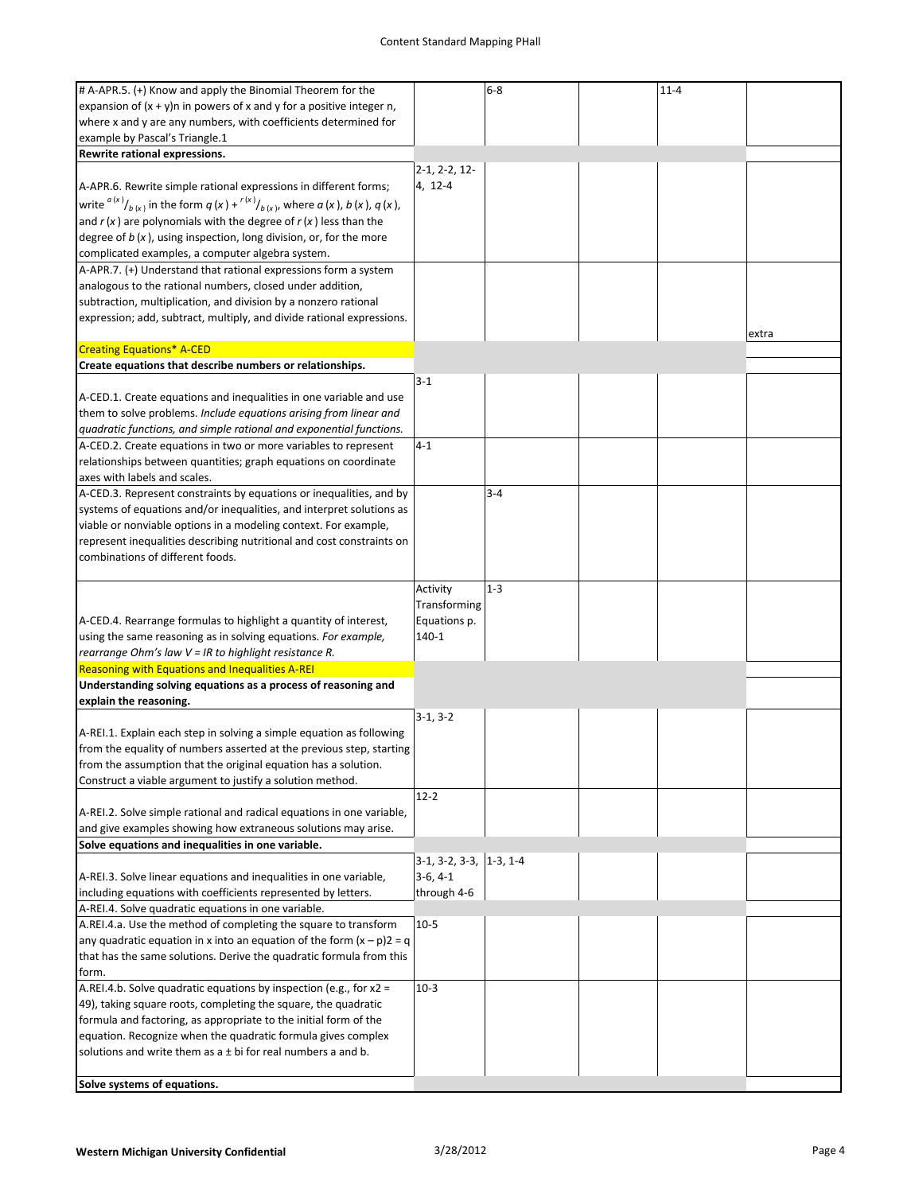| # A-APR.5. (+) Know and apply the Binomial Theorem for the                                          |                            | 6-8     | $11 - 4$ |       |
|-----------------------------------------------------------------------------------------------------|----------------------------|---------|----------|-------|
|                                                                                                     |                            |         |          |       |
| expansion of $(x + y)n$ in powers of x and y for a positive integer n,                              |                            |         |          |       |
| where x and y are any numbers, with coefficients determined for                                     |                            |         |          |       |
| example by Pascal's Triangle.1                                                                      |                            |         |          |       |
| Rewrite rational expressions.                                                                       |                            |         |          |       |
|                                                                                                     | $2-1, 2-2, 12-$            |         |          |       |
| A-APR.6. Rewrite simple rational expressions in different forms;                                    | 4, 12-4                    |         |          |       |
| write $\frac{a(x)}{b(x)}$ in the form $q(x) + \frac{r(x)}{b(x)}$ , where $a(x)$ , $b(x)$ , $q(x)$ , |                            |         |          |       |
| and $r(x)$ are polynomials with the degree of $r(x)$ less than the                                  |                            |         |          |       |
|                                                                                                     |                            |         |          |       |
| degree of $b(x)$ , using inspection, long division, or, for the more                                |                            |         |          |       |
| complicated examples, a computer algebra system.                                                    |                            |         |          |       |
| A-APR.7. (+) Understand that rational expressions form a system                                     |                            |         |          |       |
| analogous to the rational numbers, closed under addition,                                           |                            |         |          |       |
| subtraction, multiplication, and division by a nonzero rational                                     |                            |         |          |       |
| expression; add, subtract, multiply, and divide rational expressions.                               |                            |         |          |       |
|                                                                                                     |                            |         |          | extra |
| <b>Creating Equations* A-CED</b>                                                                    |                            |         |          |       |
| Create equations that describe numbers or relationships.                                            |                            |         |          |       |
|                                                                                                     | $3 - 1$                    |         |          |       |
| A-CED.1. Create equations and inequalities in one variable and use                                  |                            |         |          |       |
| them to solve problems. Include equations arising from linear and                                   |                            |         |          |       |
|                                                                                                     |                            |         |          |       |
| quadratic functions, and simple rational and exponential functions.                                 |                            |         |          |       |
| A-CED.2. Create equations in two or more variables to represent                                     | $4-1$                      |         |          |       |
| relationships between quantities; graph equations on coordinate                                     |                            |         |          |       |
| axes with labels and scales.                                                                        |                            |         |          |       |
| A-CED.3. Represent constraints by equations or inequalities, and by                                 |                            | $3 - 4$ |          |       |
| systems of equations and/or inequalities, and interpret solutions as                                |                            |         |          |       |
| viable or nonviable options in a modeling context. For example,                                     |                            |         |          |       |
| represent inequalities describing nutritional and cost constraints on                               |                            |         |          |       |
| combinations of different foods.                                                                    |                            |         |          |       |
|                                                                                                     |                            |         |          |       |
|                                                                                                     | Activity                   | $1 - 3$ |          |       |
|                                                                                                     |                            |         |          |       |
|                                                                                                     | Transforming               |         |          |       |
| A-CED.4. Rearrange formulas to highlight a quantity of interest,                                    | Equations p.               |         |          |       |
| using the same reasoning as in solving equations. For example,                                      | 140-1                      |         |          |       |
| rearrange Ohm's law V = IR to highlight resistance R.                                               |                            |         |          |       |
| Reasoning with Equations and Inequalities A-REI                                                     |                            |         |          |       |
| Understanding solving equations as a process of reasoning and                                       |                            |         |          |       |
| explain the reasoning.                                                                              |                            |         |          |       |
|                                                                                                     | $3-1, 3-2$                 |         |          |       |
| A-REI.1. Explain each step in solving a simple equation as following                                |                            |         |          |       |
| from the equality of numbers asserted at the previous step, starting                                |                            |         |          |       |
| from the assumption that the original equation has a solution.                                      |                            |         |          |       |
| Construct a viable argument to justify a solution method.                                           |                            |         |          |       |
|                                                                                                     | $12 - 2$                   |         |          |       |
| A-REI.2. Solve simple rational and radical equations in one variable,                               |                            |         |          |       |
| and give examples showing how extraneous solutions may arise.                                       |                            |         |          |       |
|                                                                                                     |                            |         |          |       |
| Solve equations and inequalities in one variable.                                                   |                            |         |          |       |
|                                                                                                     | $3-1, 3-2, 3-3,  1-3, 1-4$ |         |          |       |
| A-REI.3. Solve linear equations and inequalities in one variable,                                   | $3-6, 4-1$                 |         |          |       |
| including equations with coefficients represented by letters.                                       | through 4-6                |         |          |       |
| A-REI.4. Solve quadratic equations in one variable.                                                 |                            |         |          |       |
| A.REI.4.a. Use the method of completing the square to transform                                     | $10-5$                     |         |          |       |
| any quadratic equation in x into an equation of the form $(x - p)2 = q$                             |                            |         |          |       |
| that has the same solutions. Derive the quadratic formula from this                                 |                            |         |          |       |
| form.                                                                                               |                            |         |          |       |
| A.REI.4.b. Solve quadratic equations by inspection (e.g., for x2 =                                  | $10-3$                     |         |          |       |
| 49), taking square roots, completing the square, the quadratic                                      |                            |         |          |       |
| formula and factoring, as appropriate to the initial form of the                                    |                            |         |          |       |
| equation. Recognize when the quadratic formula gives complex                                        |                            |         |          |       |
| solutions and write them as $a \pm bi$ for real numbers a and b.                                    |                            |         |          |       |
|                                                                                                     |                            |         |          |       |
|                                                                                                     |                            |         |          |       |
| Solve systems of equations.                                                                         |                            |         |          |       |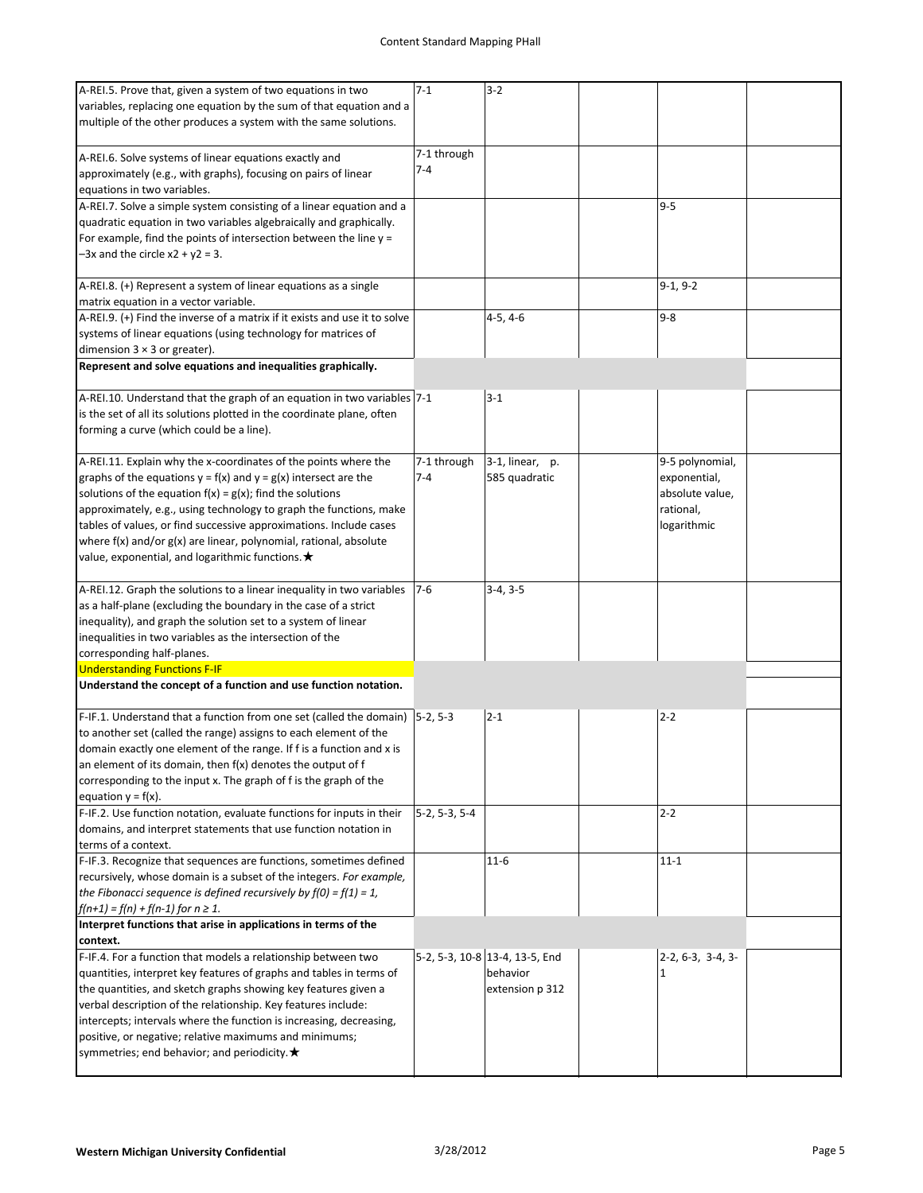| A-REI.5. Prove that, given a system of two equations in two<br>variables, replacing one equation by the sum of that equation and a<br>multiple of the other produces a system with the same solutions.                                                                                                                                                                                                                                                                                   | $7 - 1$                | $3 - 2$                                                       |                                                                                |  |
|------------------------------------------------------------------------------------------------------------------------------------------------------------------------------------------------------------------------------------------------------------------------------------------------------------------------------------------------------------------------------------------------------------------------------------------------------------------------------------------|------------------------|---------------------------------------------------------------|--------------------------------------------------------------------------------|--|
| A-REI.6. Solve systems of linear equations exactly and<br>approximately (e.g., with graphs), focusing on pairs of linear<br>equations in two variables.                                                                                                                                                                                                                                                                                                                                  | 7-1 through<br>$7 - 4$ |                                                               |                                                                                |  |
| A-REI.7. Solve a simple system consisting of a linear equation and a<br>quadratic equation in two variables algebraically and graphically.<br>For example, find the points of intersection between the line $y =$<br>$-3x$ and the circle $x2 + y2 = 3$ .                                                                                                                                                                                                                                |                        |                                                               | $9 - 5$                                                                        |  |
| A-REI.8. (+) Represent a system of linear equations as a single<br>matrix equation in a vector variable.                                                                                                                                                                                                                                                                                                                                                                                 |                        |                                                               | $9-1, 9-2$                                                                     |  |
| A-REI.9. (+) Find the inverse of a matrix if it exists and use it to solve<br>systems of linear equations (using technology for matrices of<br>dimension $3 \times 3$ or greater).                                                                                                                                                                                                                                                                                                       |                        | $4-5, 4-6$                                                    | $9 - 8$                                                                        |  |
| Represent and solve equations and inequalities graphically.                                                                                                                                                                                                                                                                                                                                                                                                                              |                        |                                                               |                                                                                |  |
| A-REI.10. Understand that the graph of an equation in two variables 7-1<br>is the set of all its solutions plotted in the coordinate plane, often<br>forming a curve (which could be a line).                                                                                                                                                                                                                                                                                            |                        | $3 - 1$                                                       |                                                                                |  |
| A-REI.11. Explain why the x-coordinates of the points where the<br>graphs of the equations $y = f(x)$ and $y = g(x)$ intersect are the<br>solutions of the equation $f(x) = g(x)$ ; find the solutions<br>approximately, e.g., using technology to graph the functions, make<br>tables of values, or find successive approximations. Include cases<br>where $f(x)$ and/or $g(x)$ are linear, polynomial, rational, absolute<br>value, exponential, and logarithmic functions. $\bigstar$ | 7-1 through<br>$7 - 4$ | 3-1, linear, p.<br>585 quadratic                              | 9-5 polynomial,<br>exponential,<br>absolute value,<br>rational,<br>logarithmic |  |
| A-REI.12. Graph the solutions to a linear inequality in two variables<br>as a half-plane (excluding the boundary in the case of a strict<br>inequality), and graph the solution set to a system of linear<br>inequalities in two variables as the intersection of the<br>corresponding half-planes.                                                                                                                                                                                      | $7-6$                  | $3-4, 3-5$                                                    |                                                                                |  |
| <b>Understanding Functions F-IF</b><br>Understand the concept of a function and use function notation.                                                                                                                                                                                                                                                                                                                                                                                   |                        |                                                               |                                                                                |  |
| F-IF.1. Understand that a function from one set (called the domain) $ 5-2, 5-3 $<br>to another set (called the range) assigns to each element of the<br>domain exactly one element of the range. If f is a function and x is<br>an element of its domain, then f(x) denotes the output of f<br>corresponding to the input x. The graph of f is the graph of the<br>equation $y = f(x)$ .                                                                                                 |                        | $2 - 1$                                                       | $2 - 2$                                                                        |  |
| F-IF.2. Use function notation, evaluate functions for inputs in their<br>domains, and interpret statements that use function notation in<br>terms of a context.                                                                                                                                                                                                                                                                                                                          | 5-2, 5-3, 5-4          |                                                               | $2 - 2$                                                                        |  |
| F-IF.3. Recognize that sequences are functions, sometimes defined<br>recursively, whose domain is a subset of the integers. For example,<br>the Fibonacci sequence is defined recursively by $f(0) = f(1) = 1$ ,<br>$f(n+1) = f(n) + f(n-1)$ for $n \ge 1$ .                                                                                                                                                                                                                             |                        | $11 - 6$                                                      | $11 - 1$                                                                       |  |
| Interpret functions that arise in applications in terms of the<br>context.                                                                                                                                                                                                                                                                                                                                                                                                               |                        |                                                               |                                                                                |  |
| F-IF.4. For a function that models a relationship between two<br>quantities, interpret key features of graphs and tables in terms of<br>the quantities, and sketch graphs showing key features given a<br>verbal description of the relationship. Key features include:<br>intercepts; intervals where the function is increasing, decreasing,<br>positive, or negative; relative maximums and minimums;<br>symmetries; end behavior; and periodicity. $\bigstar$                        |                        | 5-2, 5-3, 10-8 13-4, 13-5, End<br>behavior<br>extension p 312 | $2-2, 6-3, 3-4, 3-$<br>1                                                       |  |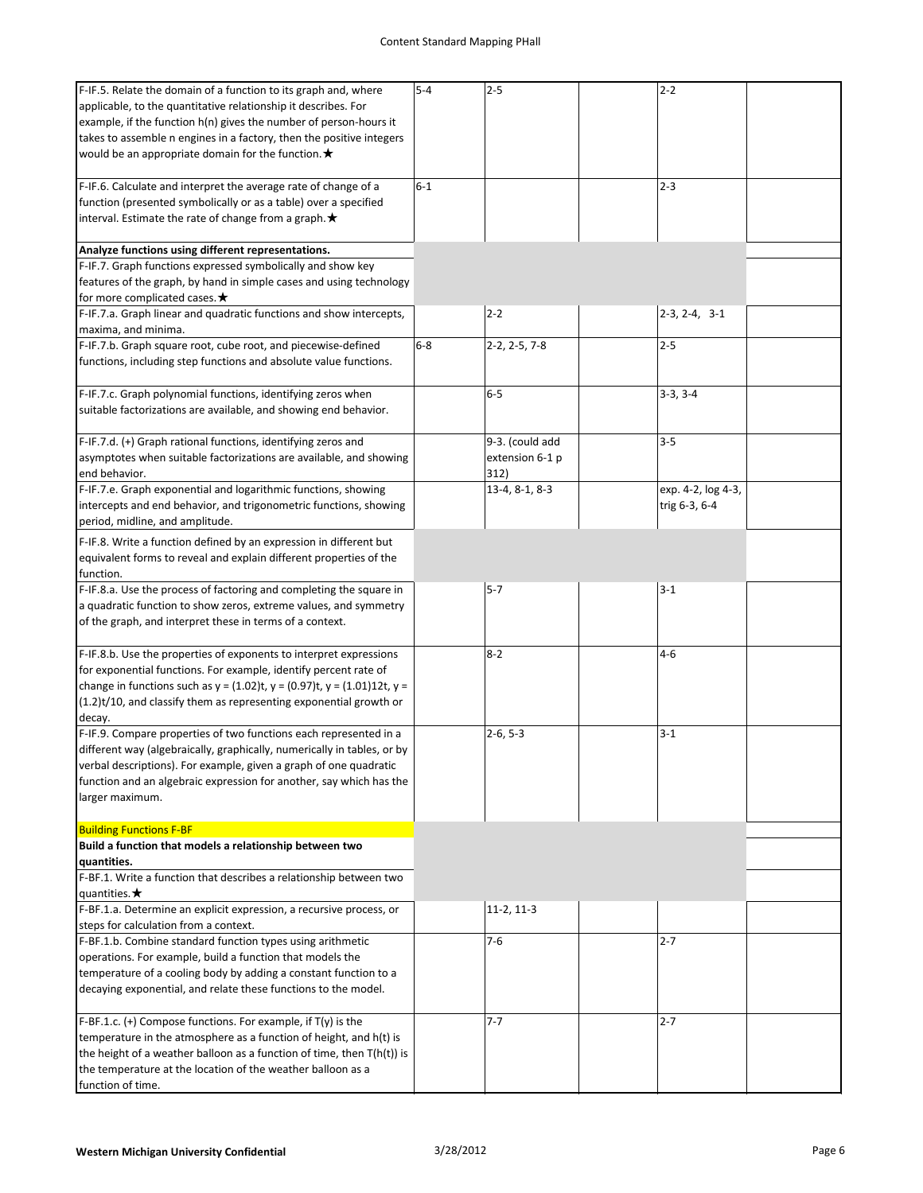| F-IF.5. Relate the domain of a function to its graph and, where<br>applicable, to the quantitative relationship it describes. For | $5 - 4$ | $2 - 5$         | $2 - 2$            |  |
|-----------------------------------------------------------------------------------------------------------------------------------|---------|-----------------|--------------------|--|
| example, if the function h(n) gives the number of person-hours it                                                                 |         |                 |                    |  |
| takes to assemble n engines in a factory, then the positive integers                                                              |         |                 |                    |  |
| would be an appropriate domain for the function. $\star$                                                                          |         |                 |                    |  |
| F-IF.6. Calculate and interpret the average rate of change of a                                                                   | $6 - 1$ |                 | $2 - 3$            |  |
| function (presented symbolically or as a table) over a specified                                                                  |         |                 |                    |  |
| interval. Estimate the rate of change from a graph. $\bigstar$                                                                    |         |                 |                    |  |
| Analyze functions using different representations.                                                                                |         |                 |                    |  |
| F-IF.7. Graph functions expressed symbolically and show key                                                                       |         |                 |                    |  |
| features of the graph, by hand in simple cases and using technology<br>for more complicated cases. $\bigstar$                     |         |                 |                    |  |
| F-IF.7.a. Graph linear and quadratic functions and show intercepts,                                                               |         | $2 - 2$         | $2-3, 2-4, 3-1$    |  |
| maxima, and minima.                                                                                                               |         |                 |                    |  |
| F-IF.7.b. Graph square root, cube root, and piecewise-defined                                                                     | $6 - 8$ | 2-2, 2-5, 7-8   | $2 - 5$            |  |
| functions, including step functions and absolute value functions.                                                                 |         |                 |                    |  |
| F-IF.7.c. Graph polynomial functions, identifying zeros when                                                                      |         | $6-5$           | $3-3, 3-4$         |  |
| suitable factorizations are available, and showing end behavior.                                                                  |         |                 |                    |  |
| F-IF.7.d. (+) Graph rational functions, identifying zeros and                                                                     |         | 9-3. (could add | $3 - 5$            |  |
| asymptotes when suitable factorizations are available, and showing                                                                |         | extension 6-1 p |                    |  |
| end behavior.                                                                                                                     |         | 312)            |                    |  |
| F-IF.7.e. Graph exponential and logarithmic functions, showing                                                                    |         | 13-4, 8-1, 8-3  | exp. 4-2, log 4-3, |  |
| intercepts and end behavior, and trigonometric functions, showing<br>period, midline, and amplitude.                              |         |                 | trig 6-3, 6-4      |  |
| F-IF.8. Write a function defined by an expression in different but                                                                |         |                 |                    |  |
| equivalent forms to reveal and explain different properties of the                                                                |         |                 |                    |  |
| function.                                                                                                                         |         |                 |                    |  |
| F-IF.8.a. Use the process of factoring and completing the square in                                                               |         | $5 - 7$         | $3 - 1$            |  |
| a quadratic function to show zeros, extreme values, and symmetry                                                                  |         |                 |                    |  |
| of the graph, and interpret these in terms of a context.                                                                          |         |                 |                    |  |
| F-IF.8.b. Use the properties of exponents to interpret expressions                                                                |         | $8 - 2$         | $4 - 6$            |  |
| for exponential functions. For example, identify percent rate of                                                                  |         |                 |                    |  |
| change in functions such as $y = (1.02)t$ , $y = (0.97)t$ , $y = (1.01)12t$ , $y =$                                               |         |                 |                    |  |
| (1.2)t/10, and classify them as representing exponential growth or<br>decay.                                                      |         |                 |                    |  |
| F-IF.9. Compare properties of two functions each represented in a                                                                 |         | $2-6, 5-3$      | $3 - 1$            |  |
| different way (algebraically, graphically, numerically in tables, or by                                                           |         |                 |                    |  |
| verbal descriptions). For example, given a graph of one quadratic                                                                 |         |                 |                    |  |
| function and an algebraic expression for another, say which has the                                                               |         |                 |                    |  |
| larger maximum.                                                                                                                   |         |                 |                    |  |
| <b>Building Functions F-BF</b>                                                                                                    |         |                 |                    |  |
| Build a function that models a relationship between two<br>quantities.                                                            |         |                 |                    |  |
| F-BF.1. Write a function that describes a relationship between two                                                                |         |                 |                    |  |
| quantities. $\bigstar$                                                                                                            |         |                 |                    |  |
| F-BF.1.a. Determine an explicit expression, a recursive process, or<br>steps for calculation from a context.                      |         | $11-2, 11-3$    |                    |  |
| F-BF.1.b. Combine standard function types using arithmetic                                                                        |         | $7-6$           | $2 - 7$            |  |
| operations. For example, build a function that models the                                                                         |         |                 |                    |  |
| temperature of a cooling body by adding a constant function to a                                                                  |         |                 |                    |  |
| decaying exponential, and relate these functions to the model.                                                                    |         |                 |                    |  |
| F-BF.1.c. (+) Compose functions. For example, if T(y) is the                                                                      |         | $7 - 7$         | $2 - 7$            |  |
| temperature in the atmosphere as a function of height, and h(t) is                                                                |         |                 |                    |  |
| the height of a weather balloon as a function of time, then $T(h(t))$ is                                                          |         |                 |                    |  |
| the temperature at the location of the weather balloon as a                                                                       |         |                 |                    |  |
| function of time.                                                                                                                 |         |                 |                    |  |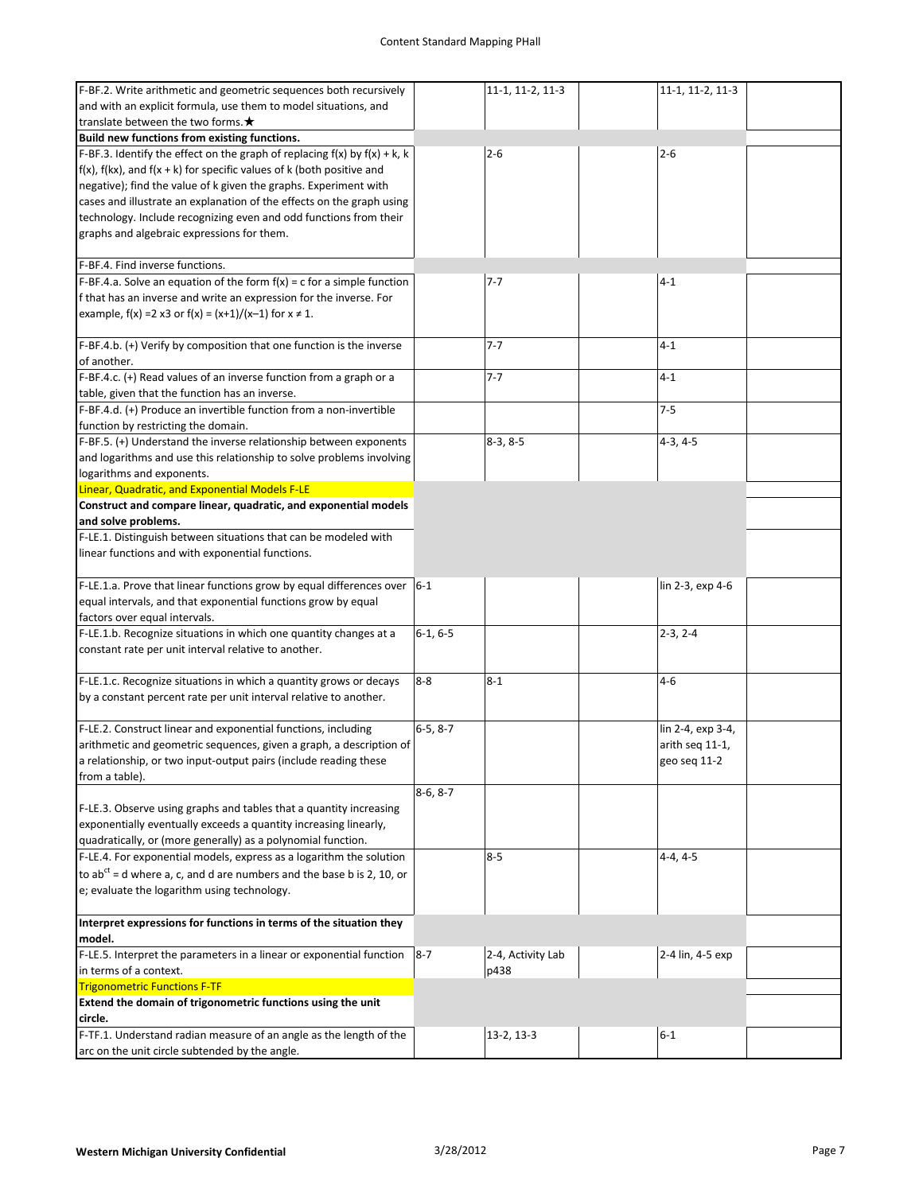| F-BF.2. Write arithmetic and geometric sequences both recursively                 |            | 11-1, 11-2, 11-3  | 11-1, 11-2, 11-3  |  |
|-----------------------------------------------------------------------------------|------------|-------------------|-------------------|--|
| and with an explicit formula, use them to model situations, and                   |            |                   |                   |  |
| translate between the two forms. $\bigstar$                                       |            |                   |                   |  |
|                                                                                   |            |                   |                   |  |
| Build new functions from existing functions.                                      |            |                   |                   |  |
| F-BF.3. Identify the effect on the graph of replacing $f(x)$ by $f(x) + k$ , k    |            | $2 - 6$           | $2 - 6$           |  |
| $f(x)$ , $f(kx)$ , and $f(x + k)$ for specific values of k (both positive and     |            |                   |                   |  |
| negative); find the value of k given the graphs. Experiment with                  |            |                   |                   |  |
| cases and illustrate an explanation of the effects on the graph using             |            |                   |                   |  |
| technology. Include recognizing even and odd functions from their                 |            |                   |                   |  |
| graphs and algebraic expressions for them.                                        |            |                   |                   |  |
|                                                                                   |            |                   |                   |  |
| F-BF.4. Find inverse functions.                                                   |            |                   |                   |  |
| F-BF.4.a. Solve an equation of the form $f(x) = c$ for a simple function          |            | 7-7               | $4 - 1$           |  |
|                                                                                   |            |                   |                   |  |
| f that has an inverse and write an expression for the inverse. For                |            |                   |                   |  |
| example, $f(x) = 2$ x3 or $f(x) = (x+1)/(x-1)$ for $x \ne 1$ .                    |            |                   |                   |  |
|                                                                                   |            |                   |                   |  |
| F-BF.4.b. (+) Verify by composition that one function is the inverse              |            | $7 - 7$           | $4 - 1$           |  |
| of another.                                                                       |            |                   |                   |  |
| F-BF.4.c. (+) Read values of an inverse function from a graph or a                |            | $7 - 7$           | $4 - 1$           |  |
| table, given that the function has an inverse.                                    |            |                   |                   |  |
| F-BF.4.d. (+) Produce an invertible function from a non-invertible                |            |                   | $7 - 5$           |  |
| function by restricting the domain.                                               |            |                   |                   |  |
|                                                                                   |            |                   |                   |  |
| F-BF.5. (+) Understand the inverse relationship between exponents                 |            | $8-3, 8-5$        | $4-3, 4-5$        |  |
| and logarithms and use this relationship to solve problems involving              |            |                   |                   |  |
| logarithms and exponents.                                                         |            |                   |                   |  |
| Linear, Quadratic, and Exponential Models F-LE                                    |            |                   |                   |  |
| Construct and compare linear, quadratic, and exponential models                   |            |                   |                   |  |
| and solve problems.                                                               |            |                   |                   |  |
| F-LE.1. Distinguish between situations that can be modeled with                   |            |                   |                   |  |
| linear functions and with exponential functions.                                  |            |                   |                   |  |
|                                                                                   |            |                   |                   |  |
| F-LE.1.a. Prove that linear functions grow by equal differences over $ 6-1 $      |            |                   | lin 2-3, exp 4-6  |  |
| equal intervals, and that exponential functions grow by equal                     |            |                   |                   |  |
|                                                                                   |            |                   |                   |  |
| factors over equal intervals.                                                     |            |                   |                   |  |
| F-LE.1.b. Recognize situations in which one quantity changes at a                 | $6-1, 6-5$ |                   | $2-3, 2-4$        |  |
| constant rate per unit interval relative to another.                              |            |                   |                   |  |
|                                                                                   |            |                   |                   |  |
| F-LE.1.c. Recognize situations in which a quantity grows or decays                | $8-8$      | $8 - 1$           | $4 - 6$           |  |
| by a constant percent rate per unit interval relative to another.                 |            |                   |                   |  |
|                                                                                   |            |                   |                   |  |
| F-LE.2. Construct linear and exponential functions, including                     | $6-5, 8-7$ |                   | lin 2-4, exp 3-4, |  |
| arithmetic and geometric sequences, given a graph, a description of               |            |                   | arith seq 11-1,   |  |
| a relationship, or two input-output pairs (include reading these                  |            |                   | geo seq 11-2      |  |
| from a table).                                                                    |            |                   |                   |  |
|                                                                                   |            |                   |                   |  |
|                                                                                   | $8-6, 8-7$ |                   |                   |  |
| F-LE.3. Observe using graphs and tables that a quantity increasing                |            |                   |                   |  |
| exponentially eventually exceeds a quantity increasing linearly,                  |            |                   |                   |  |
| quadratically, or (more generally) as a polynomial function.                      |            |                   |                   |  |
| F-LE.4. For exponential models, express as a logarithm the solution               |            | $8 - 5$           | $4-4, 4-5$        |  |
| to ab <sup>ct</sup> = d where a, c, and d are numbers and the base b is 2, 10, or |            |                   |                   |  |
| e; evaluate the logarithm using technology.                                       |            |                   |                   |  |
|                                                                                   |            |                   |                   |  |
| Interpret expressions for functions in terms of the situation they                |            |                   |                   |  |
|                                                                                   |            |                   |                   |  |
| model.                                                                            |            |                   |                   |  |
| F-LE.5. Interpret the parameters in a linear or exponential function $ 8-7 $      |            | 2-4, Activity Lab | 2-4 lin, 4-5 exp  |  |
| in terms of a context.                                                            |            | p438              |                   |  |
| <b>Trigonometric Functions F-TF</b>                                               |            |                   |                   |  |
| Extend the domain of trigonometric functions using the unit                       |            |                   |                   |  |
| circle.                                                                           |            |                   |                   |  |
|                                                                                   |            |                   |                   |  |
| F-TF.1. Understand radian measure of an angle as the length of the                |            | $13-2, 13-3$      | $6 - 1$           |  |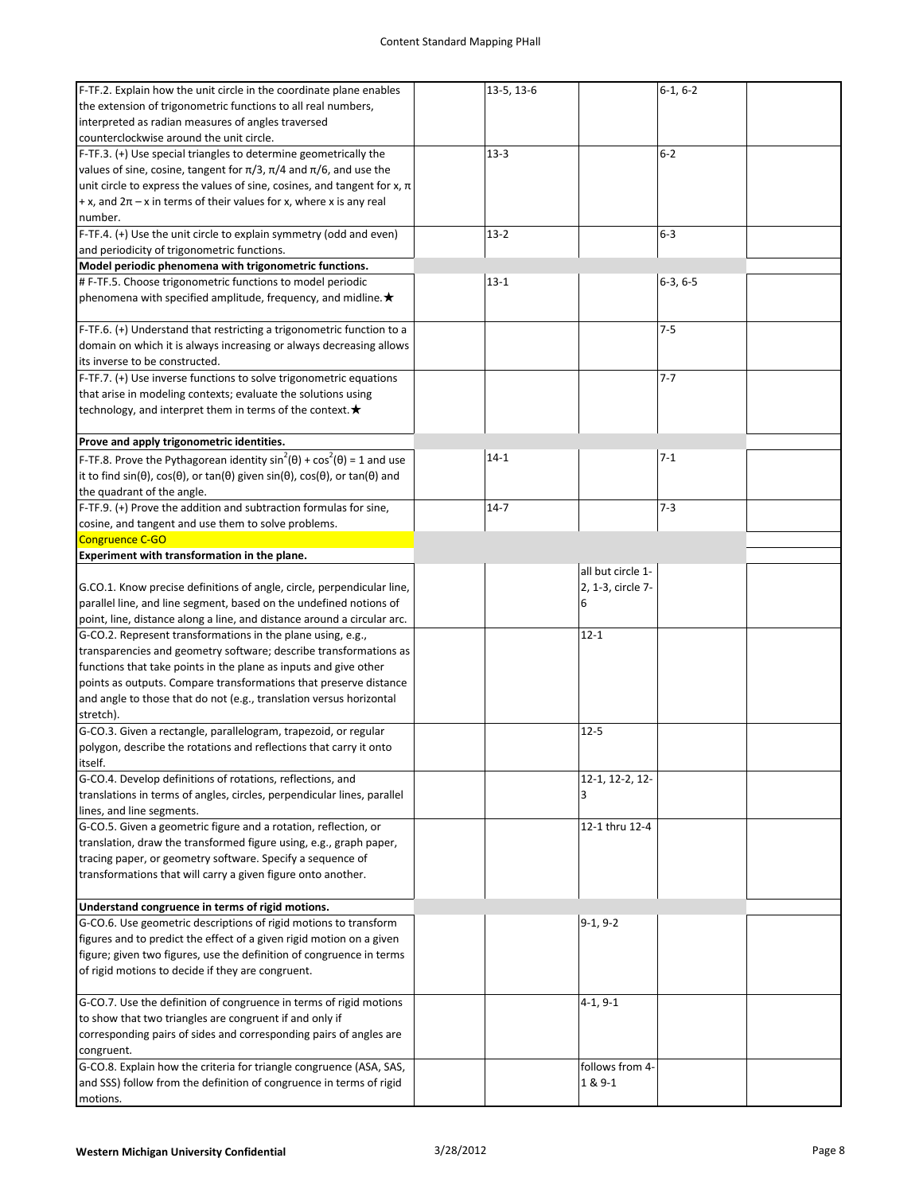| F-TF.2. Explain how the unit circle in the coordinate plane enables                                                    | 13-5, 13-6 |                   | $6-1, 6-2$ |  |
|------------------------------------------------------------------------------------------------------------------------|------------|-------------------|------------|--|
| the extension of trigonometric functions to all real numbers,                                                          |            |                   |            |  |
| interpreted as radian measures of angles traversed                                                                     |            |                   |            |  |
| counterclockwise around the unit circle.                                                                               |            |                   |            |  |
|                                                                                                                        |            |                   |            |  |
| F-TF.3. (+) Use special triangles to determine geometrically the                                                       | $13-3$     |                   | $6 - 2$    |  |
| values of sine, cosine, tangent for $\pi/3$ , $\pi/4$ and $\pi/6$ , and use the                                        |            |                   |            |  |
| unit circle to express the values of sine, cosines, and tangent for $x$ , $\pi$                                        |            |                   |            |  |
| $+x$ , and $2\pi$ – x in terms of their values for x, where x is any real                                              |            |                   |            |  |
| number.                                                                                                                |            |                   |            |  |
| F-TF.4. (+) Use the unit circle to explain symmetry (odd and even)                                                     | $13 - 2$   |                   | $6-3$      |  |
|                                                                                                                        |            |                   |            |  |
| and periodicity of trigonometric functions.                                                                            |            |                   |            |  |
| Model periodic phenomena with trigonometric functions.                                                                 |            |                   |            |  |
| # F-TF.5. Choose trigonometric functions to model periodic                                                             | $13 - 1$   |                   | $6-3, 6-5$ |  |
| phenomena with specified amplitude, frequency, and midline. $\star$                                                    |            |                   |            |  |
|                                                                                                                        |            |                   |            |  |
| F-TF.6. (+) Understand that restricting a trigonometric function to a                                                  |            |                   | $7 - 5$    |  |
|                                                                                                                        |            |                   |            |  |
| domain on which it is always increasing or always decreasing allows                                                    |            |                   |            |  |
| its inverse to be constructed.                                                                                         |            |                   |            |  |
| F-TF.7. (+) Use inverse functions to solve trigonometric equations                                                     |            |                   | $7 - 7$    |  |
| that arise in modeling contexts; evaluate the solutions using                                                          |            |                   |            |  |
| technology, and interpret them in terms of the context. $\bigstar$                                                     |            |                   |            |  |
|                                                                                                                        |            |                   |            |  |
|                                                                                                                        |            |                   |            |  |
| Prove and apply trigonometric identities.                                                                              |            |                   |            |  |
| F-TF.8. Prove the Pythagorean identity $sin^2(\theta) + cos^2(\theta) = 1$ and use                                     | $14 - 1$   |                   | $7 - 1$    |  |
| it to find $sin(\theta)$ , $cos(\theta)$ , or $tan(\theta)$ given $sin(\theta)$ , $cos(\theta)$ , or $tan(\theta)$ and |            |                   |            |  |
| the quadrant of the angle.                                                                                             |            |                   |            |  |
| F-TF.9. (+) Prove the addition and subtraction formulas for sine,                                                      | $14 - 7$   |                   | $7 - 3$    |  |
|                                                                                                                        |            |                   |            |  |
| cosine, and tangent and use them to solve problems.                                                                    |            |                   |            |  |
| Congruence C-GO                                                                                                        |            |                   |            |  |
| Experiment with transformation in the plane.                                                                           |            |                   |            |  |
|                                                                                                                        |            | all but circle 1- |            |  |
| G.CO.1. Know precise definitions of angle, circle, perpendicular line,                                                 |            | 2, 1-3, circle 7- |            |  |
| parallel line, and line segment, based on the undefined notions of                                                     |            | 6                 |            |  |
|                                                                                                                        |            |                   |            |  |
| point, line, distance along a line, and distance around a circular arc.                                                |            |                   |            |  |
| G-CO.2. Represent transformations in the plane using, e.g.,                                                            |            | $12 - 1$          |            |  |
| transparencies and geometry software; describe transformations as                                                      |            |                   |            |  |
| functions that take points in the plane as inputs and give other                                                       |            |                   |            |  |
| points as outputs. Compare transformations that preserve distance                                                      |            |                   |            |  |
| and angle to those that do not (e.g., translation versus horizontal                                                    |            |                   |            |  |
|                                                                                                                        |            |                   |            |  |
| stretch).                                                                                                              |            |                   |            |  |
| G-CO.3. Given a rectangle, parallelogram, trapezoid, or regular                                                        |            | $12 - 5$          |            |  |
| polygon, describe the rotations and reflections that carry it onto                                                     |            |                   |            |  |
| itself.                                                                                                                |            |                   |            |  |
| G-CO.4. Develop definitions of rotations, reflections, and                                                             |            | 12-1, 12-2, 12-   |            |  |
| translations in terms of angles, circles, perpendicular lines, parallel                                                |            | 3                 |            |  |
|                                                                                                                        |            |                   |            |  |
| lines, and line segments.                                                                                              |            |                   |            |  |
| G-CO.5. Given a geometric figure and a rotation, reflection, or                                                        |            | 12-1 thru 12-4    |            |  |
| translation, draw the transformed figure using, e.g., graph paper,                                                     |            |                   |            |  |
| tracing paper, or geometry software. Specify a sequence of                                                             |            |                   |            |  |
| transformations that will carry a given figure onto another.                                                           |            |                   |            |  |
|                                                                                                                        |            |                   |            |  |
|                                                                                                                        |            |                   |            |  |
| Understand congruence in terms of rigid motions.                                                                       |            |                   |            |  |
| G-CO.6. Use geometric descriptions of rigid motions to transform                                                       |            | $9-1, 9-2$        |            |  |
| figures and to predict the effect of a given rigid motion on a given                                                   |            |                   |            |  |
| figure; given two figures, use the definition of congruence in terms                                                   |            |                   |            |  |
| of rigid motions to decide if they are congruent.                                                                      |            |                   |            |  |
|                                                                                                                        |            |                   |            |  |
| G-CO.7. Use the definition of congruence in terms of rigid motions                                                     |            | $4-1, 9-1$        |            |  |
|                                                                                                                        |            |                   |            |  |
| to show that two triangles are congruent if and only if                                                                |            |                   |            |  |
| corresponding pairs of sides and corresponding pairs of angles are                                                     |            |                   |            |  |
| congruent.                                                                                                             |            |                   |            |  |
| G-CO.8. Explain how the criteria for triangle congruence (ASA, SAS,                                                    |            | follows from 4-   |            |  |
| and SSS) follow from the definition of congruence in terms of rigid                                                    |            | 1 & 9-1           |            |  |
| motions.                                                                                                               |            |                   |            |  |
|                                                                                                                        |            |                   |            |  |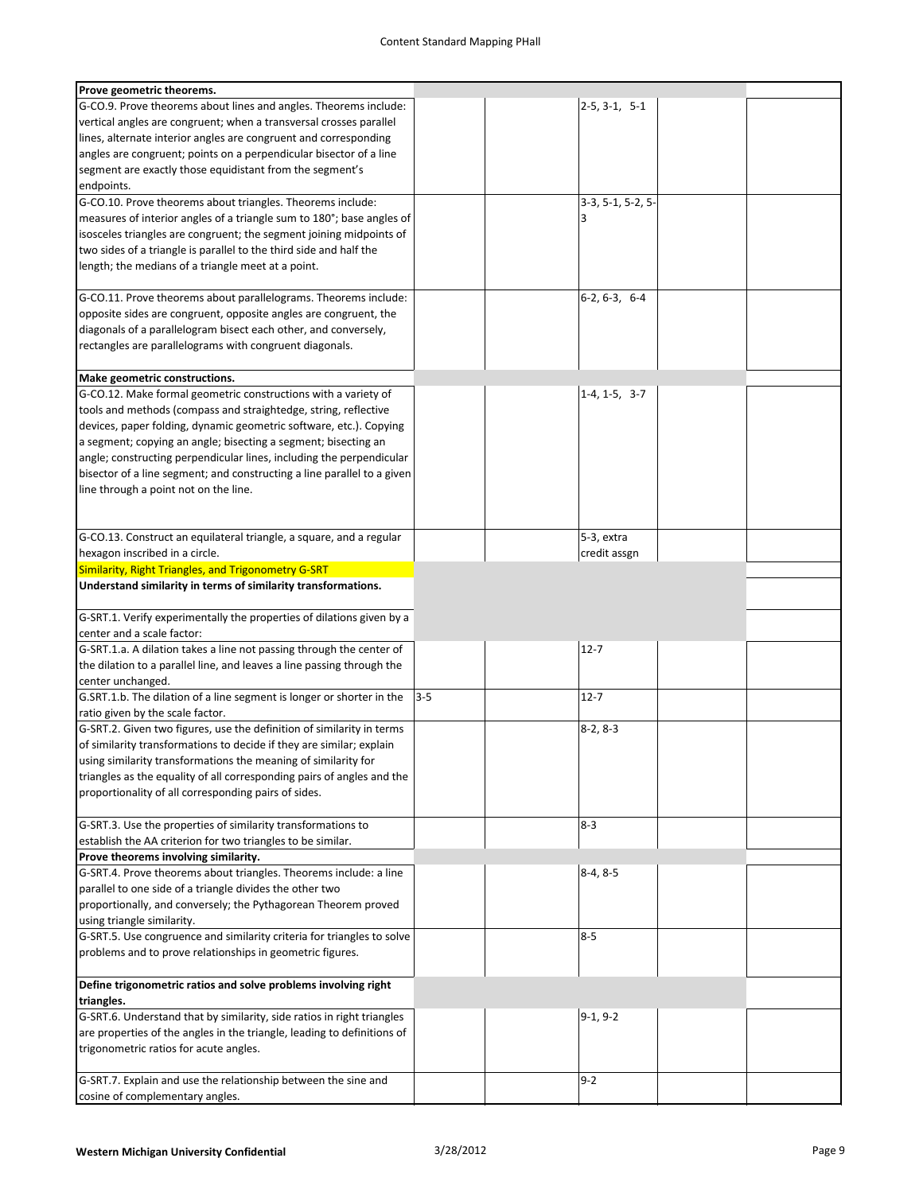| Prove geometric theorems.                                               |         |                     |  |
|-------------------------------------------------------------------------|---------|---------------------|--|
| G-CO.9. Prove theorems about lines and angles. Theorems include:        |         | $2-5, 3-1, 5-1$     |  |
| vertical angles are congruent; when a transversal crosses parallel      |         |                     |  |
| lines, alternate interior angles are congruent and corresponding        |         |                     |  |
| angles are congruent; points on a perpendicular bisector of a line      |         |                     |  |
| segment are exactly those equidistant from the segment's                |         |                     |  |
| endpoints.                                                              |         |                     |  |
| G-CO.10. Prove theorems about triangles. Theorems include:              |         | $3-3, 5-1, 5-2, 5-$ |  |
| measures of interior angles of a triangle sum to 180°; base angles of   |         | 3                   |  |
| isosceles triangles are congruent; the segment joining midpoints of     |         |                     |  |
| two sides of a triangle is parallel to the third side and half the      |         |                     |  |
|                                                                         |         |                     |  |
| length; the medians of a triangle meet at a point.                      |         |                     |  |
|                                                                         |         |                     |  |
| G-CO.11. Prove theorems about parallelograms. Theorems include:         |         | $6-2, 6-3, 6-4$     |  |
| opposite sides are congruent, opposite angles are congruent, the        |         |                     |  |
| diagonals of a parallelogram bisect each other, and conversely,         |         |                     |  |
| rectangles are parallelograms with congruent diagonals.                 |         |                     |  |
|                                                                         |         |                     |  |
| Make geometric constructions.                                           |         |                     |  |
| G-CO.12. Make formal geometric constructions with a variety of          |         | $1-4, 1-5, 3-7$     |  |
| tools and methods (compass and straightedge, string, reflective         |         |                     |  |
| devices, paper folding, dynamic geometric software, etc.). Copying      |         |                     |  |
| a segment; copying an angle; bisecting a segment; bisecting an          |         |                     |  |
| angle; constructing perpendicular lines, including the perpendicular    |         |                     |  |
| bisector of a line segment; and constructing a line parallel to a given |         |                     |  |
| line through a point not on the line.                                   |         |                     |  |
|                                                                         |         |                     |  |
|                                                                         |         |                     |  |
| G-CO.13. Construct an equilateral triangle, a square, and a regular     |         | 5-3, extra          |  |
| hexagon inscribed in a circle.                                          |         | credit assgn        |  |
| Similarity, Right Triangles, and Trigonometry G-SRT                     |         |                     |  |
| Understand similarity in terms of similarity transformations.           |         |                     |  |
|                                                                         |         |                     |  |
|                                                                         |         |                     |  |
| G-SRT.1. Verify experimentally the properties of dilations given by a   |         |                     |  |
| center and a scale factor:                                              |         |                     |  |
| G-SRT.1.a. A dilation takes a line not passing through the center of    |         | $12 - 7$            |  |
| the dilation to a parallel line, and leaves a line passing through the  |         |                     |  |
| center unchanged.                                                       |         |                     |  |
| G.SRT.1.b. The dilation of a line segment is longer or shorter in the   | $3 - 5$ | $12 - 7$            |  |
| ratio given by the scale factor.                                        |         |                     |  |
| G-SRT.2. Given two figures, use the definition of similarity in terms   |         | $8-2, 8-3$          |  |
| of similarity transformations to decide if they are similar; explain    |         |                     |  |
| using similarity transformations the meaning of similarity for          |         |                     |  |
| triangles as the equality of all corresponding pairs of angles and the  |         |                     |  |
| proportionality of all corresponding pairs of sides.                    |         |                     |  |
|                                                                         |         |                     |  |
| G-SRT.3. Use the properties of similarity transformations to            |         | $8 - 3$             |  |
| establish the AA criterion for two triangles to be similar.             |         |                     |  |
| Prove theorems involving similarity.                                    |         |                     |  |
| G-SRT.4. Prove theorems about triangles. Theorems include: a line       |         | $8-4, 8-5$          |  |
| parallel to one side of a triangle divides the other two                |         |                     |  |
| proportionally, and conversely; the Pythagorean Theorem proved          |         |                     |  |
| using triangle similarity.                                              |         |                     |  |
| G-SRT.5. Use congruence and similarity criteria for triangles to solve  |         | $8 - 5$             |  |
| problems and to prove relationships in geometric figures.               |         |                     |  |
|                                                                         |         |                     |  |
|                                                                         |         |                     |  |
| Define trigonometric ratios and solve problems involving right          |         |                     |  |
| triangles.                                                              |         |                     |  |
| G-SRT.6. Understand that by similarity, side ratios in right triangles  |         | $9-1, 9-2$          |  |
| are properties of the angles in the triangle, leading to definitions of |         |                     |  |
| trigonometric ratios for acute angles.                                  |         |                     |  |
|                                                                         |         |                     |  |
| G-SRT.7. Explain and use the relationship between the sine and          |         | $9 - 2$             |  |
| cosine of complementary angles.                                         |         |                     |  |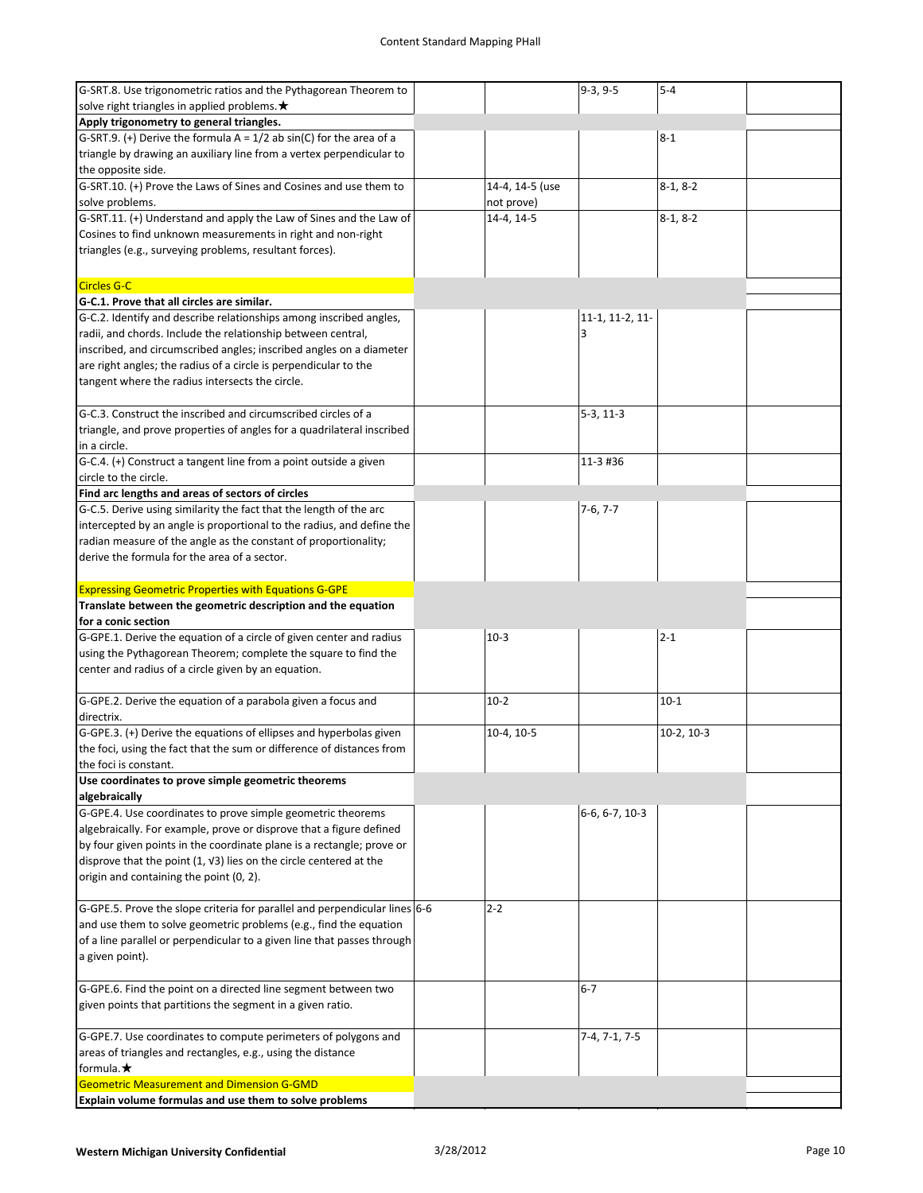| G-SRT.8. Use trigonometric ratios and the Pythagorean Theorem to                                           |                 | $9-3, 9-5$      | $5 - 4$      |  |
|------------------------------------------------------------------------------------------------------------|-----------------|-----------------|--------------|--|
| solve right triangles in applied problems. ★                                                               |                 |                 |              |  |
| Apply trigonometry to general triangles.                                                                   |                 |                 |              |  |
| G-SRT.9. (+) Derive the formula $A = 1/2$ ab sin(C) for the area of a                                      |                 |                 | $8 - 1$      |  |
| triangle by drawing an auxiliary line from a vertex perpendicular to                                       |                 |                 |              |  |
| the opposite side.                                                                                         |                 |                 |              |  |
|                                                                                                            |                 |                 |              |  |
| G-SRT.10. (+) Prove the Laws of Sines and Cosines and use them to                                          | 14-4, 14-5 (use |                 | $8-1, 8-2$   |  |
| solve problems.                                                                                            | not prove)      |                 |              |  |
| G-SRT.11. (+) Understand and apply the Law of Sines and the Law of                                         | 14-4, 14-5      |                 | $8-1, 8-2$   |  |
| Cosines to find unknown measurements in right and non-right                                                |                 |                 |              |  |
| triangles (e.g., surveying problems, resultant forces).                                                    |                 |                 |              |  |
|                                                                                                            |                 |                 |              |  |
|                                                                                                            |                 |                 |              |  |
| <b>Circles G-C</b>                                                                                         |                 |                 |              |  |
| G-C.1. Prove that all circles are similar.                                                                 |                 |                 |              |  |
| G-C.2. Identify and describe relationships among inscribed angles,                                         |                 | 11-1, 11-2, 11- |              |  |
| radii, and chords. Include the relationship between central,                                               |                 | 3               |              |  |
| inscribed, and circumscribed angles; inscribed angles on a diameter                                        |                 |                 |              |  |
|                                                                                                            |                 |                 |              |  |
| are right angles; the radius of a circle is perpendicular to the                                           |                 |                 |              |  |
| tangent where the radius intersects the circle.                                                            |                 |                 |              |  |
|                                                                                                            |                 |                 |              |  |
| G-C.3. Construct the inscribed and circumscribed circles of a                                              |                 | $5-3, 11-3$     |              |  |
| triangle, and prove properties of angles for a quadrilateral inscribed                                     |                 |                 |              |  |
| in a circle.                                                                                               |                 |                 |              |  |
| G-C.4. (+) Construct a tangent line from a point outside a given                                           |                 | 11-3 #36        |              |  |
|                                                                                                            |                 |                 |              |  |
| circle to the circle.                                                                                      |                 |                 |              |  |
| Find arc lengths and areas of sectors of circles                                                           |                 |                 |              |  |
| G-C.5. Derive using similarity the fact that the length of the arc                                         |                 | $7-6, 7-7$      |              |  |
| intercepted by an angle is proportional to the radius, and define the                                      |                 |                 |              |  |
| radian measure of the angle as the constant of proportionality;                                            |                 |                 |              |  |
| derive the formula for the area of a sector.                                                               |                 |                 |              |  |
|                                                                                                            |                 |                 |              |  |
|                                                                                                            |                 |                 |              |  |
| <b>Expressing Geometric Properties with Equations G-GPE</b>                                                |                 |                 |              |  |
| Translate between the geometric description and the equation                                               |                 |                 |              |  |
|                                                                                                            |                 |                 |              |  |
| for a conic section                                                                                        |                 |                 |              |  |
| G-GPE.1. Derive the equation of a circle of given center and radius                                        | $10-3$          |                 | $2 - 1$      |  |
| using the Pythagorean Theorem; complete the square to find the                                             |                 |                 |              |  |
|                                                                                                            |                 |                 |              |  |
| center and radius of a circle given by an equation.                                                        |                 |                 |              |  |
|                                                                                                            |                 |                 |              |  |
| G-GPE.2. Derive the equation of a parabola given a focus and                                               | $10-2$          |                 | $10 - 1$     |  |
| directrix.                                                                                                 |                 |                 |              |  |
| G-GPE.3. (+) Derive the equations of ellipses and hyperbolas given                                         | 10-4, 10-5      |                 | $10-2, 10-3$ |  |
| the foci, using the fact that the sum or difference of distances from                                      |                 |                 |              |  |
| the foci is constant.                                                                                      |                 |                 |              |  |
| Use coordinates to prove simple geometric theorems                                                         |                 |                 |              |  |
|                                                                                                            |                 |                 |              |  |
| algebraically                                                                                              |                 |                 |              |  |
| G-GPE.4. Use coordinates to prove simple geometric theorems                                                |                 | 6-6, 6-7, 10-3  |              |  |
| algebraically. For example, prove or disprove that a figure defined                                        |                 |                 |              |  |
| by four given points in the coordinate plane is a rectangle; prove or                                      |                 |                 |              |  |
| disprove that the point (1, V3) lies on the circle centered at the                                         |                 |                 |              |  |
| origin and containing the point (0, 2).                                                                    |                 |                 |              |  |
|                                                                                                            |                 |                 |              |  |
|                                                                                                            | $2 - 2$         |                 |              |  |
| G-GPE.5. Prove the slope criteria for parallel and perpendicular lines 6-6                                 |                 |                 |              |  |
| and use them to solve geometric problems (e.g., find the equation                                          |                 |                 |              |  |
| of a line parallel or perpendicular to a given line that passes through                                    |                 |                 |              |  |
| a given point).                                                                                            |                 |                 |              |  |
|                                                                                                            |                 |                 |              |  |
| G-GPE.6. Find the point on a directed line segment between two                                             |                 | $6 - 7$         |              |  |
| given points that partitions the segment in a given ratio.                                                 |                 |                 |              |  |
|                                                                                                            |                 |                 |              |  |
|                                                                                                            |                 |                 |              |  |
| G-GPE.7. Use coordinates to compute perimeters of polygons and                                             |                 | $7-4, 7-1, 7-5$ |              |  |
| areas of triangles and rectangles, e.g., using the distance                                                |                 |                 |              |  |
| formula. $\bigstar$                                                                                        |                 |                 |              |  |
| <b>Geometric Measurement and Dimension G-GMD</b><br>Explain volume formulas and use them to solve problems |                 |                 |              |  |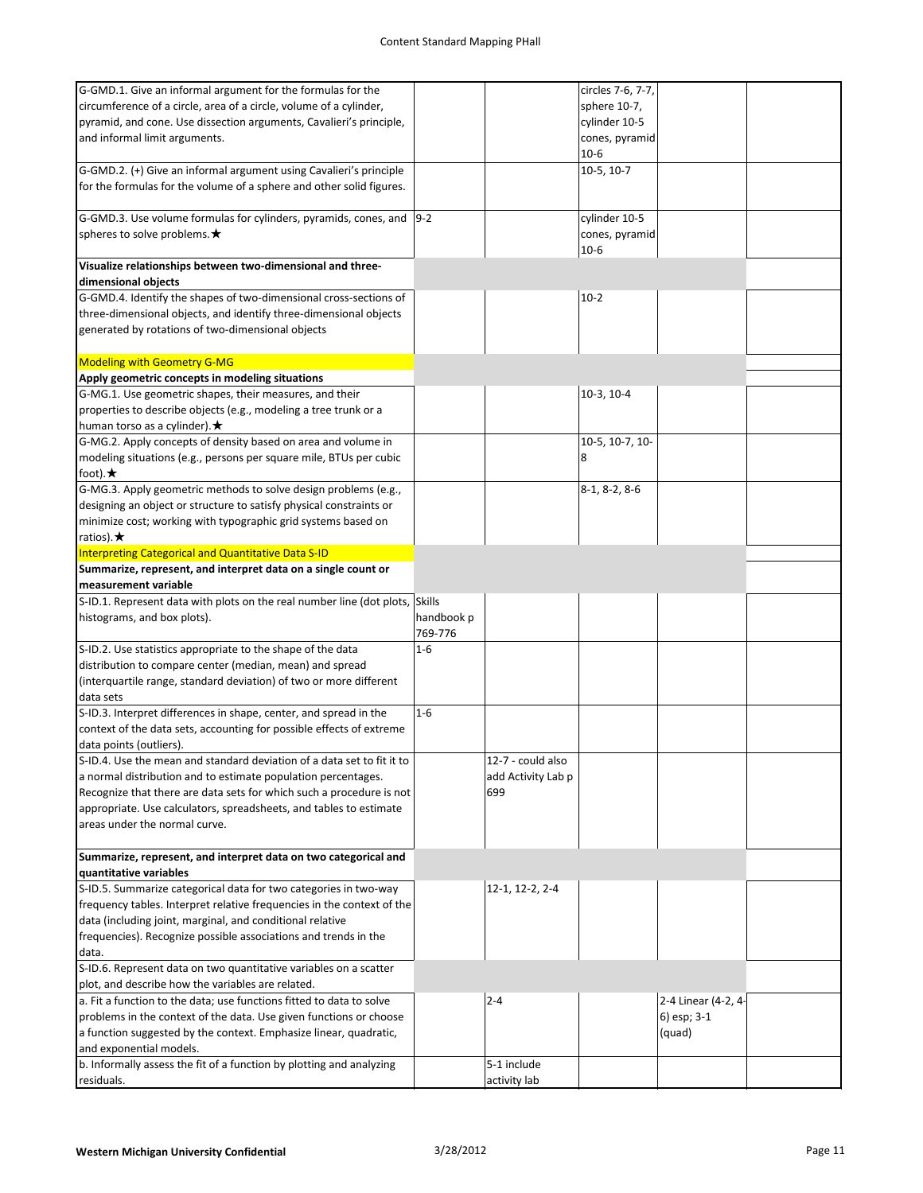| G-GMD.1. Give an informal argument for the formulas for the                  |            |                    | circles 7-6, 7-7, |                     |  |
|------------------------------------------------------------------------------|------------|--------------------|-------------------|---------------------|--|
| circumference of a circle, area of a circle, volume of a cylinder,           |            |                    | sphere 10-7,      |                     |  |
| pyramid, and cone. Use dissection arguments, Cavalieri's principle,          |            |                    | cylinder 10-5     |                     |  |
| and informal limit arguments.                                                |            |                    | cones, pyramid    |                     |  |
|                                                                              |            |                    | $10-6$            |                     |  |
| G-GMD.2. (+) Give an informal argument using Cavalieri's principle           |            |                    | $10-5, 10-7$      |                     |  |
| for the formulas for the volume of a sphere and other solid figures.         |            |                    |                   |                     |  |
|                                                                              |            |                    |                   |                     |  |
| G-GMD.3. Use volume formulas for cylinders, pyramids, cones, and $ 9-2 $     |            |                    | cylinder 10-5     |                     |  |
| spheres to solve problems. $\bigstar$                                        |            |                    | cones, pyramid    |                     |  |
|                                                                              |            |                    | $10-6$            |                     |  |
| Visualize relationships between two-dimensional and three-                   |            |                    |                   |                     |  |
| dimensional objects                                                          |            |                    |                   |                     |  |
| G-GMD.4. Identify the shapes of two-dimensional cross-sections of            |            |                    | $10-2$            |                     |  |
|                                                                              |            |                    |                   |                     |  |
| three-dimensional objects, and identify three-dimensional objects            |            |                    |                   |                     |  |
| generated by rotations of two-dimensional objects                            |            |                    |                   |                     |  |
|                                                                              |            |                    |                   |                     |  |
| <b>Modeling with Geometry G-MG</b>                                           |            |                    |                   |                     |  |
| Apply geometric concepts in modeling situations                              |            |                    |                   |                     |  |
| G-MG.1. Use geometric shapes, their measures, and their                      |            |                    | 10-3, 10-4        |                     |  |
| properties to describe objects (e.g., modeling a tree trunk or a             |            |                    |                   |                     |  |
| human torso as a cylinder). $\bigstar$                                       |            |                    |                   |                     |  |
| G-MG.2. Apply concepts of density based on area and volume in                |            |                    | 10-5, 10-7, 10-   |                     |  |
| modeling situations (e.g., persons per square mile, BTUs per cubic           |            |                    | 8                 |                     |  |
| foot). $\bigstar$                                                            |            |                    |                   |                     |  |
| G-MG.3. Apply geometric methods to solve design problems (e.g.,              |            |                    | $8-1, 8-2, 8-6$   |                     |  |
| designing an object or structure to satisfy physical constraints or          |            |                    |                   |                     |  |
| minimize cost; working with typographic grid systems based on                |            |                    |                   |                     |  |
| ratios). $\bigstar$                                                          |            |                    |                   |                     |  |
| Interpreting Categorical and Quantitative Data S-ID                          |            |                    |                   |                     |  |
| Summarize, represent, and interpret data on a single count or                |            |                    |                   |                     |  |
| measurement variable                                                         |            |                    |                   |                     |  |
| S-ID.1. Represent data with plots on the real number line (dot plots, Skills |            |                    |                   |                     |  |
| histograms, and box plots).                                                  | handbook p |                    |                   |                     |  |
|                                                                              |            |                    |                   |                     |  |
|                                                                              | 769-776    |                    |                   |                     |  |
| S-ID.2. Use statistics appropriate to the shape of the data                  | $1 - 6$    |                    |                   |                     |  |
|                                                                              |            |                    |                   |                     |  |
| distribution to compare center (median, mean) and spread                     |            |                    |                   |                     |  |
| (interquartile range, standard deviation) of two or more different           |            |                    |                   |                     |  |
| data sets                                                                    |            |                    |                   |                     |  |
| S-ID.3. Interpret differences in shape, center, and spread in the            | $1-6$      |                    |                   |                     |  |
| context of the data sets, accounting for possible effects of extreme         |            |                    |                   |                     |  |
| data points (outliers).                                                      |            |                    |                   |                     |  |
| S-ID.4. Use the mean and standard deviation of a data set to fit it to       |            | 12-7 - could also  |                   |                     |  |
| a normal distribution and to estimate population percentages.                |            | add Activity Lab p |                   |                     |  |
| Recognize that there are data sets for which such a procedure is not         |            | 699                |                   |                     |  |
| appropriate. Use calculators, spreadsheets, and tables to estimate           |            |                    |                   |                     |  |
| areas under the normal curve.                                                |            |                    |                   |                     |  |
|                                                                              |            |                    |                   |                     |  |
| Summarize, represent, and interpret data on two categorical and              |            |                    |                   |                     |  |
| quantitative variables                                                       |            |                    |                   |                     |  |
| S-ID.5. Summarize categorical data for two categories in two-way             |            | 12-1, 12-2, 2-4    |                   |                     |  |
| frequency tables. Interpret relative frequencies in the context of the       |            |                    |                   |                     |  |
| data (including joint, marginal, and conditional relative                    |            |                    |                   |                     |  |
| frequencies). Recognize possible associations and trends in the              |            |                    |                   |                     |  |
| data.                                                                        |            |                    |                   |                     |  |
| S-ID.6. Represent data on two quantitative variables on a scatter            |            |                    |                   |                     |  |
| plot, and describe how the variables are related.                            |            |                    |                   |                     |  |
| a. Fit a function to the data; use functions fitted to data to solve         |            | $2 - 4$            |                   | 2-4 Linear (4-2, 4- |  |
| problems in the context of the data. Use given functions or choose           |            |                    |                   | 6) esp; 3-1         |  |
| a function suggested by the context. Emphasize linear, quadratic,            |            |                    |                   | (quad)              |  |
| and exponential models.                                                      |            |                    |                   |                     |  |
| b. Informally assess the fit of a function by plotting and analyzing         |            | 5-1 include        |                   |                     |  |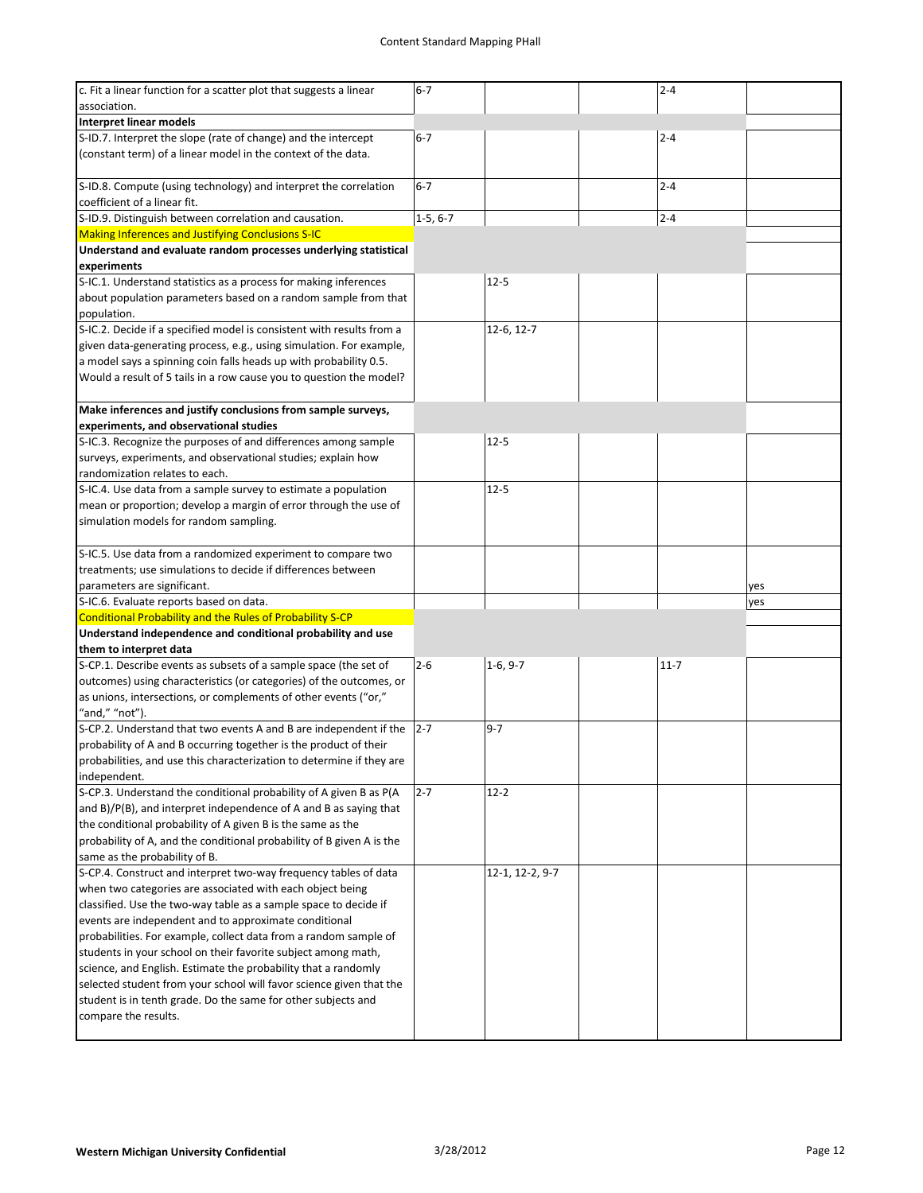| c. Fit a linear function for a scatter plot that suggests a linear<br>association.                                               | $6 - 7$    |                 | $2 - 4$  |     |
|----------------------------------------------------------------------------------------------------------------------------------|------------|-----------------|----------|-----|
| <b>Interpret linear models</b>                                                                                                   |            |                 |          |     |
| S-ID.7. Interpret the slope (rate of change) and the intercept                                                                   | $6 - 7$    |                 | $2 - 4$  |     |
| (constant term) of a linear model in the context of the data.                                                                    |            |                 |          |     |
| S-ID.8. Compute (using technology) and interpret the correlation<br>coefficient of a linear fit.                                 | $6 - 7$    |                 | $2 - 4$  |     |
| S-ID.9. Distinguish between correlation and causation.                                                                           | $1-5, 6-7$ |                 | $2 - 4$  |     |
| Making Inferences and Justifying Conclusions S-IC                                                                                |            |                 |          |     |
| Understand and evaluate random processes underlying statistical                                                                  |            |                 |          |     |
| experiments                                                                                                                      |            |                 |          |     |
| S-IC.1. Understand statistics as a process for making inferences                                                                 |            | $12 - 5$        |          |     |
| about population parameters based on a random sample from that<br>population.                                                    |            |                 |          |     |
| S-IC.2. Decide if a specified model is consistent with results from a                                                            |            | 12-6, 12-7      |          |     |
| given data-generating process, e.g., using simulation. For example,                                                              |            |                 |          |     |
| a model says a spinning coin falls heads up with probability 0.5.                                                                |            |                 |          |     |
| Would a result of 5 tails in a row cause you to question the model?                                                              |            |                 |          |     |
|                                                                                                                                  |            |                 |          |     |
| Make inferences and justify conclusions from sample surveys,<br>experiments, and observational studies                           |            |                 |          |     |
| S-IC.3. Recognize the purposes of and differences among sample                                                                   |            | $12 - 5$        |          |     |
| surveys, experiments, and observational studies; explain how                                                                     |            |                 |          |     |
| randomization relates to each.                                                                                                   |            |                 |          |     |
| S-IC.4. Use data from a sample survey to estimate a population                                                                   |            | $12 - 5$        |          |     |
| mean or proportion; develop a margin of error through the use of                                                                 |            |                 |          |     |
| simulation models for random sampling.                                                                                           |            |                 |          |     |
|                                                                                                                                  |            |                 |          |     |
| S-IC.5. Use data from a randomized experiment to compare two                                                                     |            |                 |          |     |
| treatments; use simulations to decide if differences between                                                                     |            |                 |          |     |
|                                                                                                                                  |            |                 |          |     |
| parameters are significant.                                                                                                      |            |                 |          | yes |
| S-IC.6. Evaluate reports based on data.                                                                                          |            |                 |          | yes |
| Conditional Probability and the Rules of Probability S-CP                                                                        |            |                 |          |     |
| Understand independence and conditional probability and use                                                                      |            |                 |          |     |
| them to interpret data                                                                                                           |            |                 |          |     |
| S-CP.1. Describe events as subsets of a sample space (the set of                                                                 | $2 - 6$    | $1-6, 9-7$      | $11 - 7$ |     |
| outcomes) using characteristics (or categories) of the outcomes, or                                                              |            |                 |          |     |
| as unions, intersections, or complements of other events ("or,"                                                                  |            |                 |          |     |
| "and," "not").                                                                                                                   |            |                 |          |     |
| S-CP.2. Understand that two events A and B are independent if the                                                                | $2 - 7$    | $9 - 7$         |          |     |
| probability of A and B occurring together is the product of their                                                                |            |                 |          |     |
| probabilities, and use this characterization to determine if they are                                                            |            |                 |          |     |
| independent.                                                                                                                     |            |                 |          |     |
| S-CP.3. Understand the conditional probability of A given B as P(A                                                               | $2 - 7$    | $12 - 2$        |          |     |
| and B)/P(B), and interpret independence of A and B as saying that<br>the conditional probability of A given B is the same as the |            |                 |          |     |
| probability of A, and the conditional probability of B given A is the                                                            |            |                 |          |     |
| same as the probability of B.                                                                                                    |            |                 |          |     |
| S-CP.4. Construct and interpret two-way frequency tables of data                                                                 |            | 12-1, 12-2, 9-7 |          |     |
| when two categories are associated with each object being                                                                        |            |                 |          |     |
| classified. Use the two-way table as a sample space to decide if                                                                 |            |                 |          |     |
| events are independent and to approximate conditional                                                                            |            |                 |          |     |
| probabilities. For example, collect data from a random sample of                                                                 |            |                 |          |     |
| students in your school on their favorite subject among math,                                                                    |            |                 |          |     |
| science, and English. Estimate the probability that a randomly                                                                   |            |                 |          |     |
| selected student from your school will favor science given that the                                                              |            |                 |          |     |
| student is in tenth grade. Do the same for other subjects and                                                                    |            |                 |          |     |
| compare the results.                                                                                                             |            |                 |          |     |